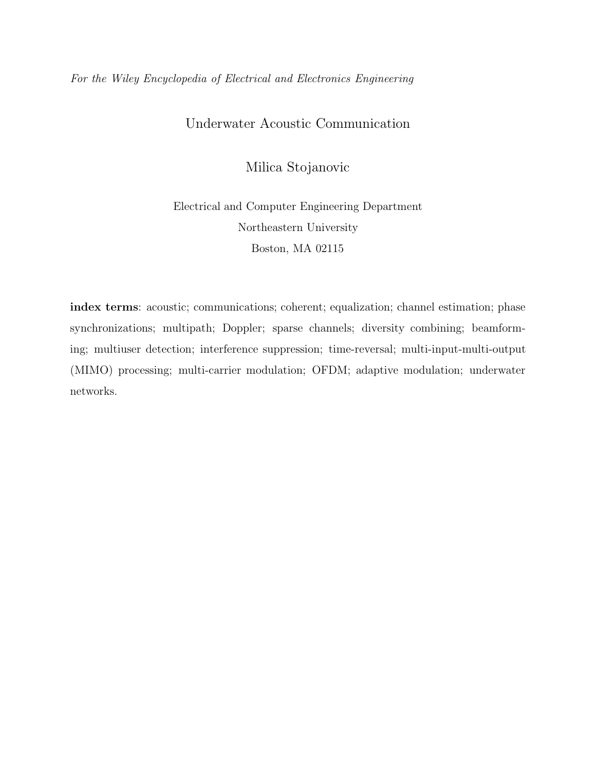## For the Wiley Encyclopedia of Electrical and Electronics Engineering

# Underwater Acoustic Communication

Milica Stojanovic

# Electrical and Computer Engineering Department Northeastern University Boston, MA 02115

index terms: acoustic; communications; coherent; equalization; channel estimation; phase synchronizations; multipath; Doppler; sparse channels; diversity combining; beamforming; multiuser detection; interference suppression; time-reversal; multi-input-multi-output (MIMO) processing; multi-carrier modulation; OFDM; adaptive modulation; underwater networks.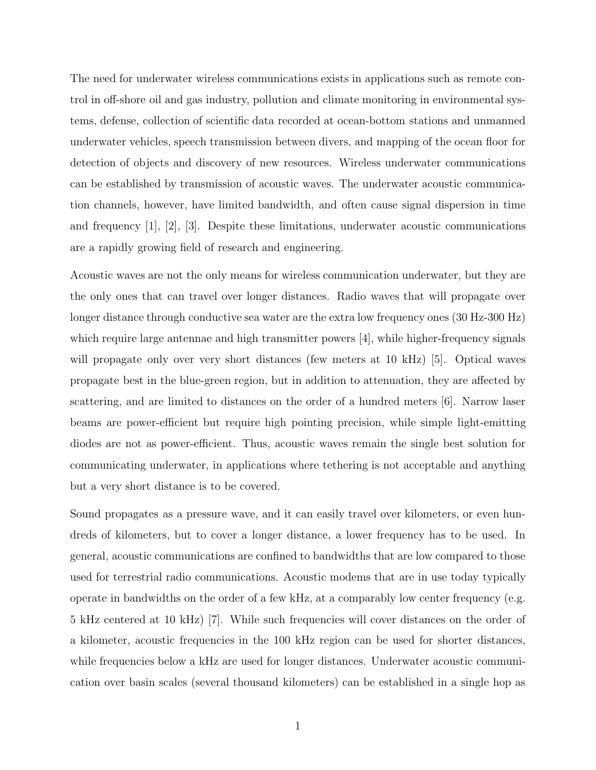The need for underwater wireless communications exists in applications such as remote control in off-shore oil and gas industry, pollution and climate monitoring in environmental systems, defense, collection of scientific data recorded at ocean-bottom stations and unmanned underwater vehicles, speech transmission between divers, and mapping of the ocean floor for detection of objects and discovery of new resources. Wireless underwater communications can be established by transmission of acoustic waves. The underwater acoustic communication channels, however, have limited bandwidth, and often cause signal dispersion in time and frequency [1], [2], [3]. Despite these limitations, underwater acoustic communications are a rapidly growing field of research and engineering.

Acoustic waves are not the only means for wireless communication underwater, but they are the only ones that can travel over longer distances. Radio waves that will propagate over longer distance through conductive sea water are the extra low frequency ones (30 Hz-300 Hz) which require large antennae and high transmitter powers [4], while higher-frequency signals will propagate only over very short distances (few meters at 10 kHz) [5]. Optical waves propagate best in the blue-green region, but in addition to attenuation, they are affected by scattering, and are limited to distances on the order of a hundred meters [6]. Narrow laser beams are power-efficient but require high pointing precision, while simple light-emitting diodes are not as power-efficient. Thus, acoustic waves remain the single best solution for communicating underwater, in applications where tethering is not acceptable and anything but a very short distance is to be covered.

Sound propagates as a pressure wave, and it can easily travel over kilometers, or even hundreds of kilometers, but to cover a longer distance, a lower frequency has to be used. In general, acoustic communications are confined to bandwidths that are low compared to those used for terrestrial radio communications. Acoustic modems that are in use today typically operate in bandwidths on the order of a few kHz, at a comparably low center frequency (e.g. 5 kHz centered at 10 kHz) [7]. While such frequencies will cover distances on the order of a kilometer, acoustic frequencies in the 100 kHz region can be used for shorter distances, while frequencies below a kHz are used for longer distances. Underwater acoustic communication over basin scales (several thousand kilometers) can be established in a single hop as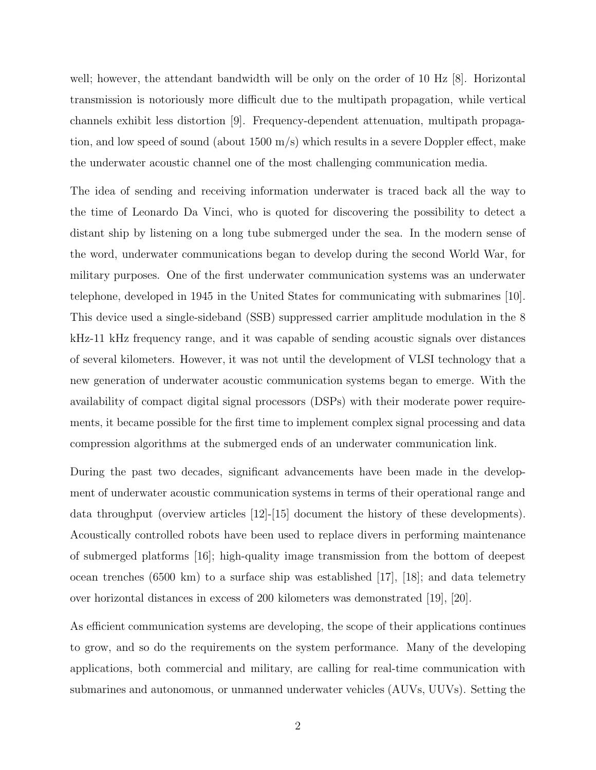well; however, the attendant bandwidth will be only on the order of 10 Hz [8]. Horizontal transmission is notoriously more difficult due to the multipath propagation, while vertical channels exhibit less distortion [9]. Frequency-dependent attenuation, multipath propagation, and low speed of sound (about 1500 m/s) which results in a severe Doppler effect, make the underwater acoustic channel one of the most challenging communication media.

The idea of sending and receiving information underwater is traced back all the way to the time of Leonardo Da Vinci, who is quoted for discovering the possibility to detect a distant ship by listening on a long tube submerged under the sea. In the modern sense of the word, underwater communications began to develop during the second World War, for military purposes. One of the first underwater communication systems was an underwater telephone, developed in 1945 in the United States for communicating with submarines [10]. This device used a single-sideband (SSB) suppressed carrier amplitude modulation in the 8 kHz-11 kHz frequency range, and it was capable of sending acoustic signals over distances of several kilometers. However, it was not until the development of VLSI technology that a new generation of underwater acoustic communication systems began to emerge. With the availability of compact digital signal processors (DSPs) with their moderate power requirements, it became possible for the first time to implement complex signal processing and data compression algorithms at the submerged ends of an underwater communication link.

During the past two decades, significant advancements have been made in the development of underwater acoustic communication systems in terms of their operational range and data throughput (overview articles [12]-[15] document the history of these developments). Acoustically controlled robots have been used to replace divers in performing maintenance of submerged platforms [16]; high-quality image transmission from the bottom of deepest ocean trenches (6500 km) to a surface ship was established [17], [18]; and data telemetry over horizontal distances in excess of 200 kilometers was demonstrated [19], [20].

As efficient communication systems are developing, the scope of their applications continues to grow, and so do the requirements on the system performance. Many of the developing applications, both commercial and military, are calling for real-time communication with submarines and autonomous, or unmanned underwater vehicles (AUVs, UUVs). Setting the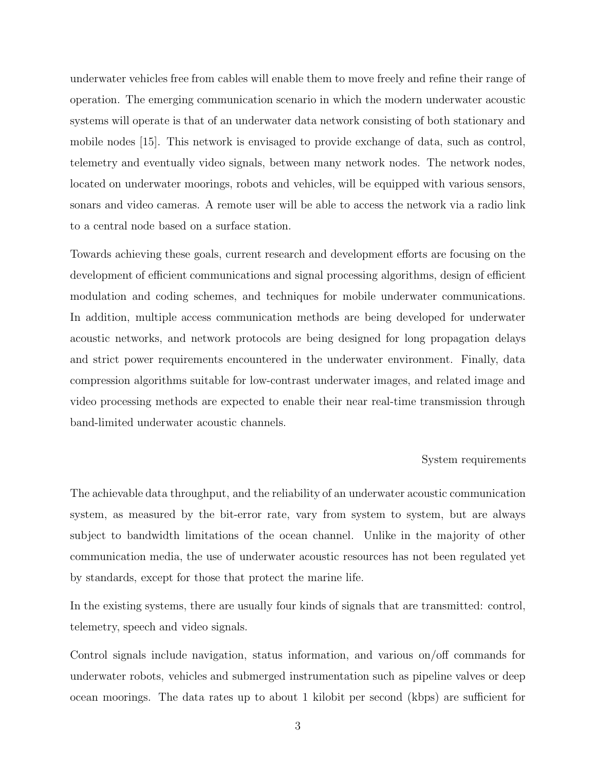underwater vehicles free from cables will enable them to move freely and refine their range of operation. The emerging communication scenario in which the modern underwater acoustic systems will operate is that of an underwater data network consisting of both stationary and mobile nodes [15]. This network is envisaged to provide exchange of data, such as control, telemetry and eventually video signals, between many network nodes. The network nodes, located on underwater moorings, robots and vehicles, will be equipped with various sensors, sonars and video cameras. A remote user will be able to access the network via a radio link to a central node based on a surface station.

Towards achieving these goals, current research and development efforts are focusing on the development of efficient communications and signal processing algorithms, design of efficient modulation and coding schemes, and techniques for mobile underwater communications. In addition, multiple access communication methods are being developed for underwater acoustic networks, and network protocols are being designed for long propagation delays and strict power requirements encountered in the underwater environment. Finally, data compression algorithms suitable for low-contrast underwater images, and related image and video processing methods are expected to enable their near real-time transmission through band-limited underwater acoustic channels.

#### System requirements

The achievable data throughput, and the reliability of an underwater acoustic communication system, as measured by the bit-error rate, vary from system to system, but are always subject to bandwidth limitations of the ocean channel. Unlike in the majority of other communication media, the use of underwater acoustic resources has not been regulated yet by standards, except for those that protect the marine life.

In the existing systems, there are usually four kinds of signals that are transmitted: control, telemetry, speech and video signals.

Control signals include navigation, status information, and various on/off commands for underwater robots, vehicles and submerged instrumentation such as pipeline valves or deep ocean moorings. The data rates up to about 1 kilobit per second (kbps) are sufficient for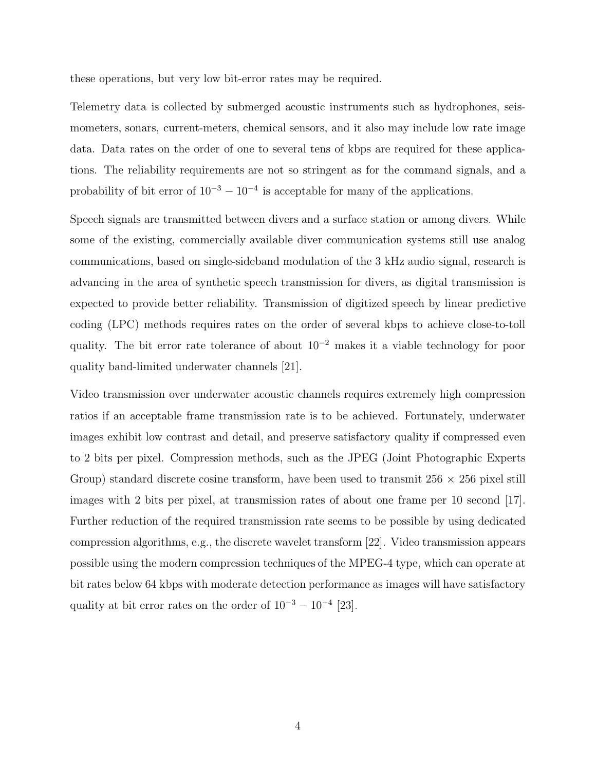these operations, but very low bit-error rates may be required.

Telemetry data is collected by submerged acoustic instruments such as hydrophones, seismometers, sonars, current-meters, chemical sensors, and it also may include low rate image data. Data rates on the order of one to several tens of kbps are required for these applications. The reliability requirements are not so stringent as for the command signals, and a probability of bit error of  $10^{-3} - 10^{-4}$  is acceptable for many of the applications.

Speech signals are transmitted between divers and a surface station or among divers. While some of the existing, commercially available diver communication systems still use analog communications, based on single-sideband modulation of the 3 kHz audio signal, research is advancing in the area of synthetic speech transmission for divers, as digital transmission is expected to provide better reliability. Transmission of digitized speech by linear predictive coding (LPC) methods requires rates on the order of several kbps to achieve close-to-toll quality. The bit error rate tolerance of about 10<sup>−</sup><sup>2</sup> makes it a viable technology for poor quality band-limited underwater channels [21].

Video transmission over underwater acoustic channels requires extremely high compression ratios if an acceptable frame transmission rate is to be achieved. Fortunately, underwater images exhibit low contrast and detail, and preserve satisfactory quality if compressed even to 2 bits per pixel. Compression methods, such as the JPEG (Joint Photographic Experts Group) standard discrete cosine transform, have been used to transmit  $256 \times 256$  pixel still images with 2 bits per pixel, at transmission rates of about one frame per 10 second [17]. Further reduction of the required transmission rate seems to be possible by using dedicated compression algorithms, e.g., the discrete wavelet transform [22]. Video transmission appears possible using the modern compression techniques of the MPEG-4 type, which can operate at bit rates below 64 kbps with moderate detection performance as images will have satisfactory quality at bit error rates on the order of  $10^{-3} - 10^{-4}$  [23].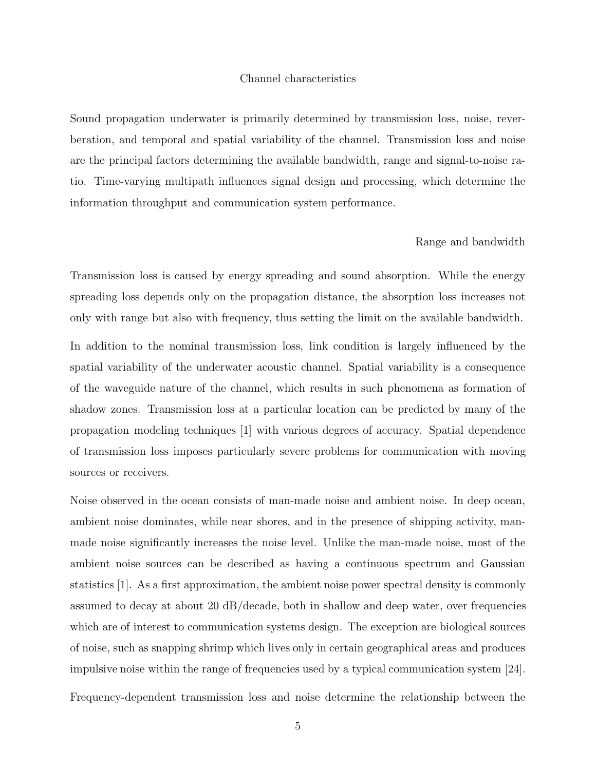#### Channel characteristics

Sound propagation underwater is primarily determined by transmission loss, noise, reverberation, and temporal and spatial variability of the channel. Transmission loss and noise are the principal factors determining the available bandwidth, range and signal-to-noise ratio. Time-varying multipath influences signal design and processing, which determine the information throughput and communication system performance.

#### Range and bandwidth

Transmission loss is caused by energy spreading and sound absorption. While the energy spreading loss depends only on the propagation distance, the absorption loss increases not only with range but also with frequency, thus setting the limit on the available bandwidth.

In addition to the nominal transmission loss, link condition is largely influenced by the spatial variability of the underwater acoustic channel. Spatial variability is a consequence of the waveguide nature of the channel, which results in such phenomena as formation of shadow zones. Transmission loss at a particular location can be predicted by many of the propagation modeling techniques [1] with various degrees of accuracy. Spatial dependence of transmission loss imposes particularly severe problems for communication with moving sources or receivers.

Noise observed in the ocean consists of man-made noise and ambient noise. In deep ocean, ambient noise dominates, while near shores, and in the presence of shipping activity, manmade noise significantly increases the noise level. Unlike the man-made noise, most of the ambient noise sources can be described as having a continuous spectrum and Gaussian statistics [1]. As a first approximation, the ambient noise power spectral density is commonly assumed to decay at about 20 dB/decade, both in shallow and deep water, over frequencies which are of interest to communication systems design. The exception are biological sources of noise, such as snapping shrimp which lives only in certain geographical areas and produces impulsive noise within the range of frequencies used by a typical communication system [24].

Frequency-dependent transmission loss and noise determine the relationship between the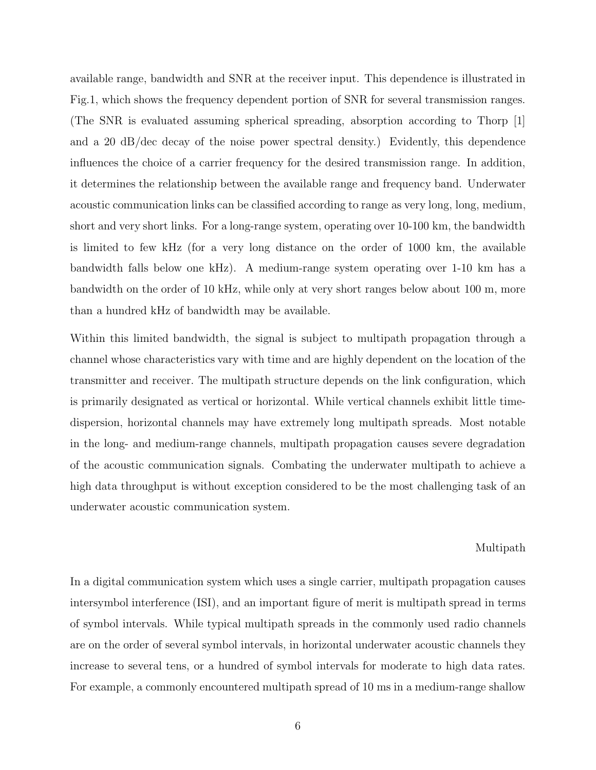available range, bandwidth and SNR at the receiver input. This dependence is illustrated in Fig.1, which shows the frequency dependent portion of SNR for several transmission ranges. (The SNR is evaluated assuming spherical spreading, absorption according to Thorp [1] and a 20 dB/dec decay of the noise power spectral density.) Evidently, this dependence influences the choice of a carrier frequency for the desired transmission range. In addition, it determines the relationship between the available range and frequency band. Underwater acoustic communication links can be classified according to range as very long, long, medium, short and very short links. For a long-range system, operating over 10-100 km, the bandwidth is limited to few kHz (for a very long distance on the order of 1000 km, the available bandwidth falls below one kHz). A medium-range system operating over 1-10 km has a bandwidth on the order of 10 kHz, while only at very short ranges below about 100 m, more than a hundred kHz of bandwidth may be available.

Within this limited bandwidth, the signal is subject to multipath propagation through a channel whose characteristics vary with time and are highly dependent on the location of the transmitter and receiver. The multipath structure depends on the link configuration, which is primarily designated as vertical or horizontal. While vertical channels exhibit little timedispersion, horizontal channels may have extremely long multipath spreads. Most notable in the long- and medium-range channels, multipath propagation causes severe degradation of the acoustic communication signals. Combating the underwater multipath to achieve a high data throughput is without exception considered to be the most challenging task of an underwater acoustic communication system.

#### Multipath

In a digital communication system which uses a single carrier, multipath propagation causes intersymbol interference (ISI), and an important figure of merit is multipath spread in terms of symbol intervals. While typical multipath spreads in the commonly used radio channels are on the order of several symbol intervals, in horizontal underwater acoustic channels they increase to several tens, or a hundred of symbol intervals for moderate to high data rates. For example, a commonly encountered multipath spread of 10 ms in a medium-range shallow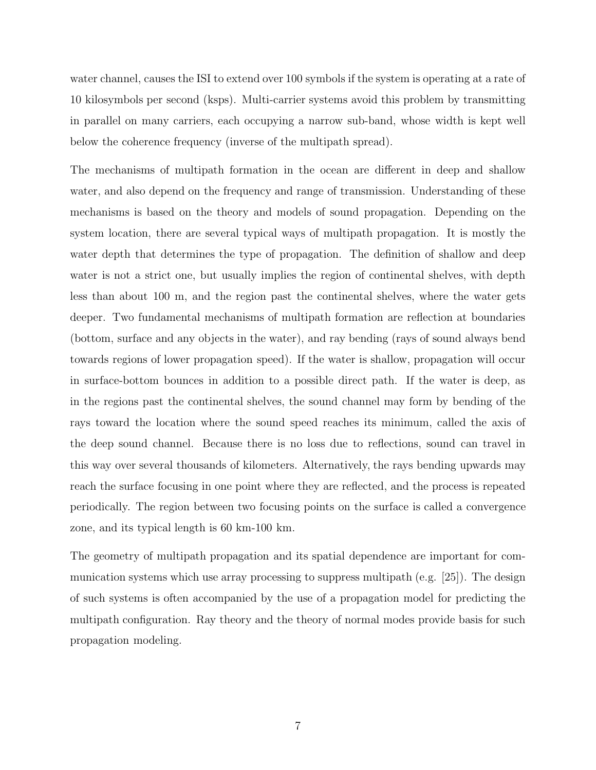water channel, causes the ISI to extend over 100 symbols if the system is operating at a rate of 10 kilosymbols per second (ksps). Multi-carrier systems avoid this problem by transmitting in parallel on many carriers, each occupying a narrow sub-band, whose width is kept well below the coherence frequency (inverse of the multipath spread).

The mechanisms of multipath formation in the ocean are different in deep and shallow water, and also depend on the frequency and range of transmission. Understanding of these mechanisms is based on the theory and models of sound propagation. Depending on the system location, there are several typical ways of multipath propagation. It is mostly the water depth that determines the type of propagation. The definition of shallow and deep water is not a strict one, but usually implies the region of continental shelves, with depth less than about 100 m, and the region past the continental shelves, where the water gets deeper. Two fundamental mechanisms of multipath formation are reflection at boundaries (bottom, surface and any objects in the water), and ray bending (rays of sound always bend towards regions of lower propagation speed). If the water is shallow, propagation will occur in surface-bottom bounces in addition to a possible direct path. If the water is deep, as in the regions past the continental shelves, the sound channel may form by bending of the rays toward the location where the sound speed reaches its minimum, called the axis of the deep sound channel. Because there is no loss due to reflections, sound can travel in this way over several thousands of kilometers. Alternatively, the rays bending upwards may reach the surface focusing in one point where they are reflected, and the process is repeated periodically. The region between two focusing points on the surface is called a convergence zone, and its typical length is 60 km-100 km.

The geometry of multipath propagation and its spatial dependence are important for communication systems which use array processing to suppress multipath (e.g.  $[25]$ ). The design of such systems is often accompanied by the use of a propagation model for predicting the multipath configuration. Ray theory and the theory of normal modes provide basis for such propagation modeling.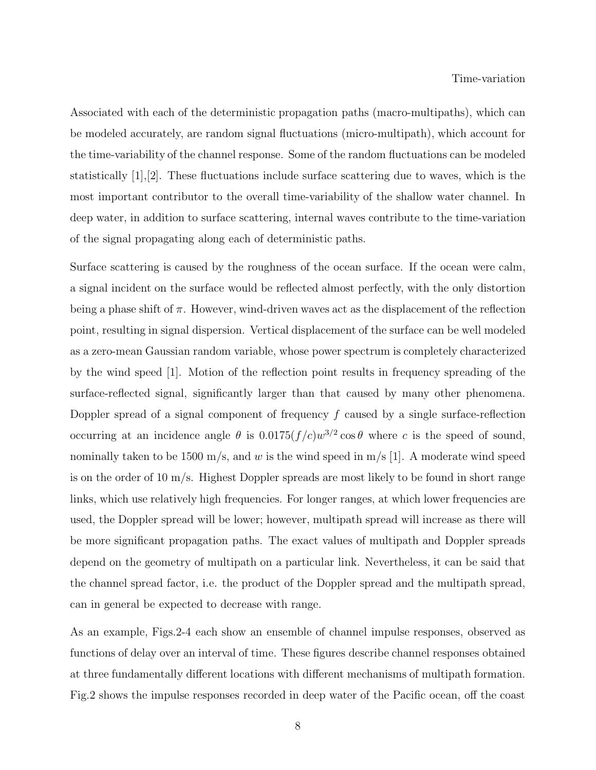#### Time-variation

Associated with each of the deterministic propagation paths (macro-multipaths), which can be modeled accurately, are random signal fluctuations (micro-multipath), which account for the time-variability of the channel response. Some of the random fluctuations can be modeled statistically [1],[2]. These fluctuations include surface scattering due to waves, which is the most important contributor to the overall time-variability of the shallow water channel. In deep water, in addition to surface scattering, internal waves contribute to the time-variation of the signal propagating along each of deterministic paths.

Surface scattering is caused by the roughness of the ocean surface. If the ocean were calm, a signal incident on the surface would be reflected almost perfectly, with the only distortion being a phase shift of  $\pi$ . However, wind-driven waves act as the displacement of the reflection point, resulting in signal dispersion. Vertical displacement of the surface can be well modeled as a zero-mean Gaussian random variable, whose power spectrum is completely characterized by the wind speed [1]. Motion of the reflection point results in frequency spreading of the surface-reflected signal, significantly larger than that caused by many other phenomena. Doppler spread of a signal component of frequency  $f$  caused by a single surface-reflection occurring at an incidence angle  $\theta$  is  $0.0175(f/c)w^{3/2}\cos\theta$  where c is the speed of sound, nominally taken to be 1500 m/s, and w is the wind speed in m/s [1]. A moderate wind speed is on the order of 10 m/s. Highest Doppler spreads are most likely to be found in short range links, which use relatively high frequencies. For longer ranges, at which lower frequencies are used, the Doppler spread will be lower; however, multipath spread will increase as there will be more significant propagation paths. The exact values of multipath and Doppler spreads depend on the geometry of multipath on a particular link. Nevertheless, it can be said that the channel spread factor, i.e. the product of the Doppler spread and the multipath spread, can in general be expected to decrease with range.

As an example, Figs.2-4 each show an ensemble of channel impulse responses, observed as functions of delay over an interval of time. These figures describe channel responses obtained at three fundamentally different locations with different mechanisms of multipath formation. Fig.2 shows the impulse responses recorded in deep water of the Pacific ocean, off the coast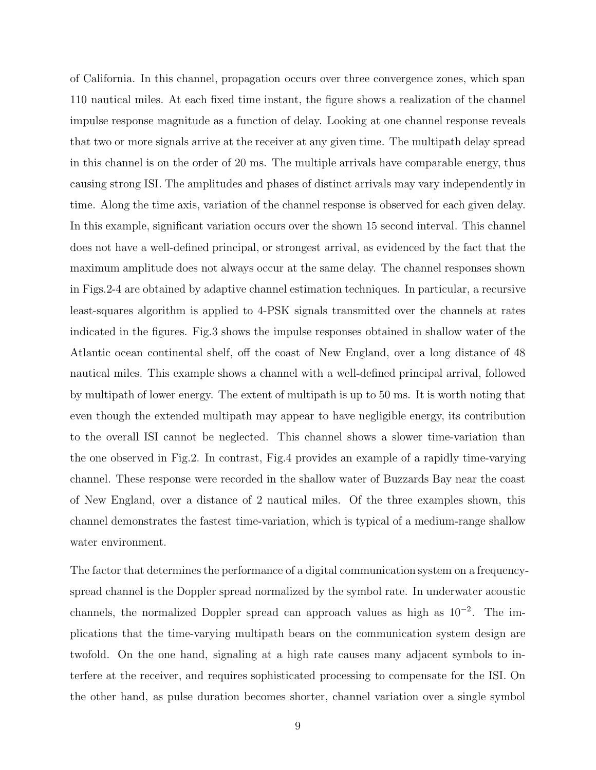of California. In this channel, propagation occurs over three convergence zones, which span 110 nautical miles. At each fixed time instant, the figure shows a realization of the channel impulse response magnitude as a function of delay. Looking at one channel response reveals that two or more signals arrive at the receiver at any given time. The multipath delay spread in this channel is on the order of 20 ms. The multiple arrivals have comparable energy, thus causing strong ISI. The amplitudes and phases of distinct arrivals may vary independently in time. Along the time axis, variation of the channel response is observed for each given delay. In this example, significant variation occurs over the shown 15 second interval. This channel does not have a well-defined principal, or strongest arrival, as evidenced by the fact that the maximum amplitude does not always occur at the same delay. The channel responses shown in Figs.2-4 are obtained by adaptive channel estimation techniques. In particular, a recursive least-squares algorithm is applied to 4-PSK signals transmitted over the channels at rates indicated in the figures. Fig.3 shows the impulse responses obtained in shallow water of the Atlantic ocean continental shelf, off the coast of New England, over a long distance of 48 nautical miles. This example shows a channel with a well-defined principal arrival, followed by multipath of lower energy. The extent of multipath is up to 50 ms. It is worth noting that even though the extended multipath may appear to have negligible energy, its contribution to the overall ISI cannot be neglected. This channel shows a slower time-variation than the one observed in Fig.2. In contrast, Fig.4 provides an example of a rapidly time-varying channel. These response were recorded in the shallow water of Buzzards Bay near the coast of New England, over a distance of 2 nautical miles. Of the three examples shown, this channel demonstrates the fastest time-variation, which is typical of a medium-range shallow water environment.

The factor that determines the performance of a digital communication system on a frequencyspread channel is the Doppler spread normalized by the symbol rate. In underwater acoustic channels, the normalized Doppler spread can approach values as high as  $10^{-2}$ . The implications that the time-varying multipath bears on the communication system design are twofold. On the one hand, signaling at a high rate causes many adjacent symbols to interfere at the receiver, and requires sophisticated processing to compensate for the ISI. On the other hand, as pulse duration becomes shorter, channel variation over a single symbol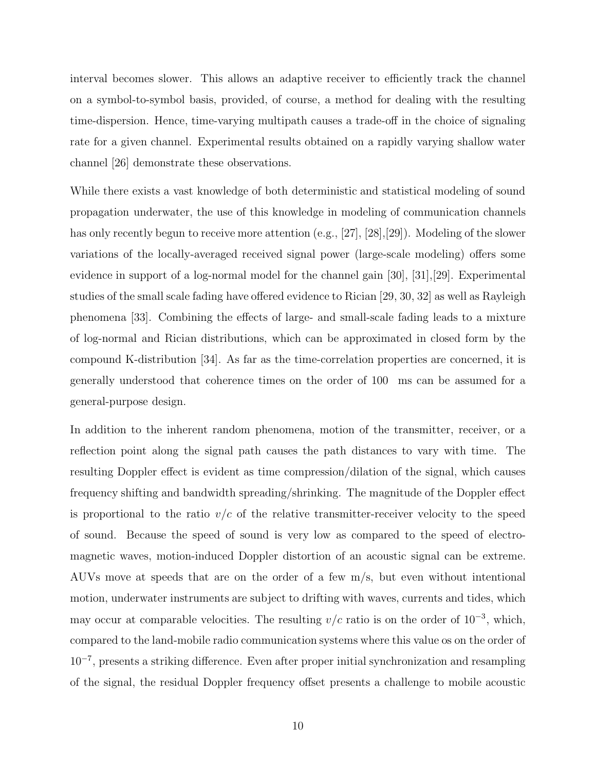interval becomes slower. This allows an adaptive receiver to efficiently track the channel on a symbol-to-symbol basis, provided, of course, a method for dealing with the resulting time-dispersion. Hence, time-varying multipath causes a trade-off in the choice of signaling rate for a given channel. Experimental results obtained on a rapidly varying shallow water channel [26] demonstrate these observations.

While there exists a vast knowledge of both deterministic and statistical modeling of sound propagation underwater, the use of this knowledge in modeling of communication channels has only recently begun to receive more attention (e.g., [27], [28], [29]). Modeling of the slower variations of the locally-averaged received signal power (large-scale modeling) offers some evidence in support of a log-normal model for the channel gain [30], [31],[29]. Experimental studies of the small scale fading have offered evidence to Rician [29, 30, 32] as well as Rayleigh phenomena [33]. Combining the effects of large- and small-scale fading leads to a mixture of log-normal and Rician distributions, which can be approximated in closed form by the compound K-distribution [34]. As far as the time-correlation properties are concerned, it is generally understood that coherence times on the order of 100 ms can be assumed for a general-purpose design.

In addition to the inherent random phenomena, motion of the transmitter, receiver, or a reflection point along the signal path causes the path distances to vary with time. The resulting Doppler effect is evident as time compression/dilation of the signal, which causes frequency shifting and bandwidth spreading/shrinking. The magnitude of the Doppler effect is proportional to the ratio  $v/c$  of the relative transmitter-receiver velocity to the speed of sound. Because the speed of sound is very low as compared to the speed of electromagnetic waves, motion-induced Doppler distortion of an acoustic signal can be extreme. AUVs move at speeds that are on the order of a few m/s, but even without intentional motion, underwater instruments are subject to drifting with waves, currents and tides, which may occur at comparable velocities. The resulting  $v/c$  ratio is on the order of 10<sup>-3</sup>, which, compared to the land-mobile radio communication systems where this value os on the order of 10<sup>−</sup><sup>7</sup> , presents a striking difference. Even after proper initial synchronization and resampling of the signal, the residual Doppler frequency offset presents a challenge to mobile acoustic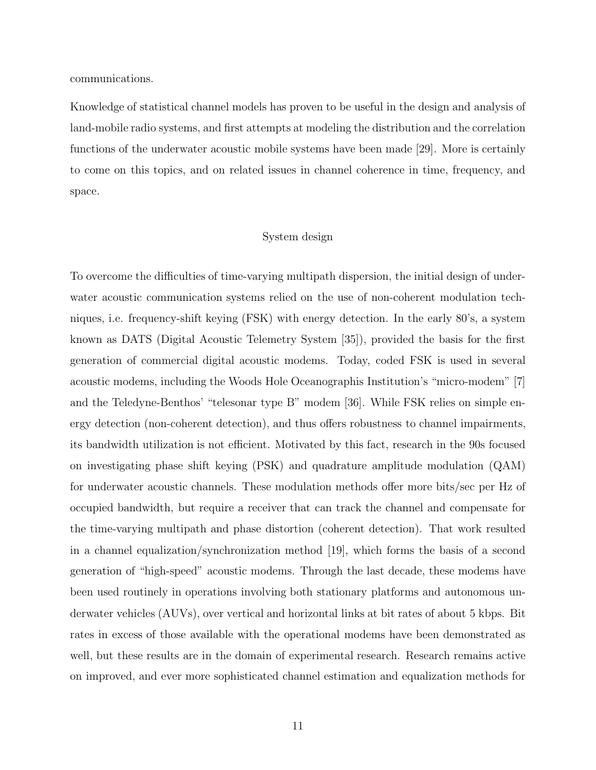communications.

Knowledge of statistical channel models has proven to be useful in the design and analysis of land-mobile radio systems, and first attempts at modeling the distribution and the correlation functions of the underwater acoustic mobile systems have been made [29]. More is certainly to come on this topics, and on related issues in channel coherence in time, frequency, and space.

### System design

To overcome the difficulties of time-varying multipath dispersion, the initial design of underwater acoustic communication systems relied on the use of non-coherent modulation techniques, i.e. frequency-shift keying (FSK) with energy detection. In the early 80's, a system known as DATS (Digital Acoustic Telemetry System [35]), provided the basis for the first generation of commercial digital acoustic modems. Today, coded FSK is used in several acoustic modems, including the Woods Hole Oceanographis Institution's "micro-modem" [7] and the Teledyne-Benthos' "telesonar type B" modem [36]. While FSK relies on simple energy detection (non-coherent detection), and thus offers robustness to channel impairments, its bandwidth utilization is not efficient. Motivated by this fact, research in the 90s focused on investigating phase shift keying (PSK) and quadrature amplitude modulation (QAM) for underwater acoustic channels. These modulation methods offer more bits/sec per Hz of occupied bandwidth, but require a receiver that can track the channel and compensate for the time-varying multipath and phase distortion (coherent detection). That work resulted in a channel equalization/synchronization method [19], which forms the basis of a second generation of "high-speed" acoustic modems. Through the last decade, these modems have been used routinely in operations involving both stationary platforms and autonomous underwater vehicles (AUVs), over vertical and horizontal links at bit rates of about 5 kbps. Bit rates in excess of those available with the operational modems have been demonstrated as well, but these results are in the domain of experimental research. Research remains active on improved, and ever more sophisticated channel estimation and equalization methods for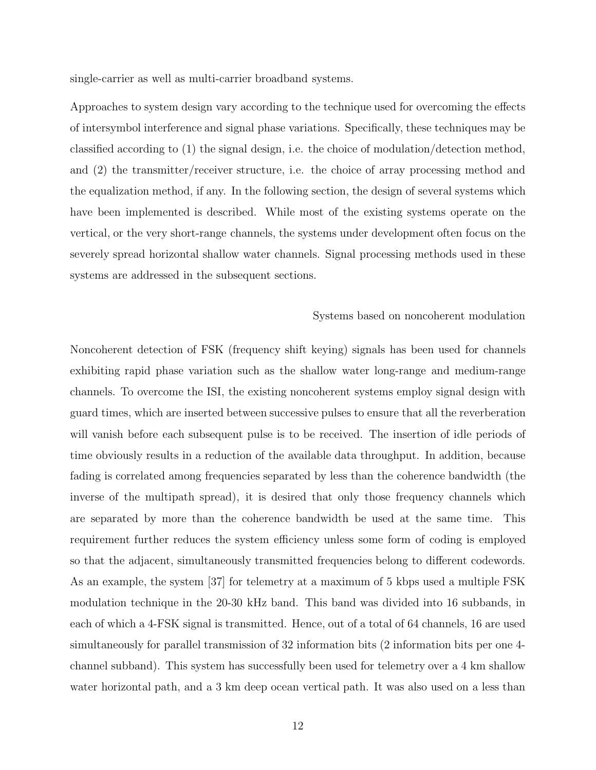single-carrier as well as multi-carrier broadband systems.

Approaches to system design vary according to the technique used for overcoming the effects of intersymbol interference and signal phase variations. Specifically, these techniques may be classified according to (1) the signal design, i.e. the choice of modulation/detection method, and (2) the transmitter/receiver structure, i.e. the choice of array processing method and the equalization method, if any. In the following section, the design of several systems which have been implemented is described. While most of the existing systems operate on the vertical, or the very short-range channels, the systems under development often focus on the severely spread horizontal shallow water channels. Signal processing methods used in these systems are addressed in the subsequent sections.

#### Systems based on noncoherent modulation

Noncoherent detection of FSK (frequency shift keying) signals has been used for channels exhibiting rapid phase variation such as the shallow water long-range and medium-range channels. To overcome the ISI, the existing noncoherent systems employ signal design with guard times, which are inserted between successive pulses to ensure that all the reverberation will vanish before each subsequent pulse is to be received. The insertion of idle periods of time obviously results in a reduction of the available data throughput. In addition, because fading is correlated among frequencies separated by less than the coherence bandwidth (the inverse of the multipath spread), it is desired that only those frequency channels which are separated by more than the coherence bandwidth be used at the same time. This requirement further reduces the system efficiency unless some form of coding is employed so that the adjacent, simultaneously transmitted frequencies belong to different codewords. As an example, the system [37] for telemetry at a maximum of 5 kbps used a multiple FSK modulation technique in the 20-30 kHz band. This band was divided into 16 subbands, in each of which a 4-FSK signal is transmitted. Hence, out of a total of 64 channels, 16 are used simultaneously for parallel transmission of 32 information bits (2 information bits per one 4 channel subband). This system has successfully been used for telemetry over a 4 km shallow water horizontal path, and a 3 km deep ocean vertical path. It was also used on a less than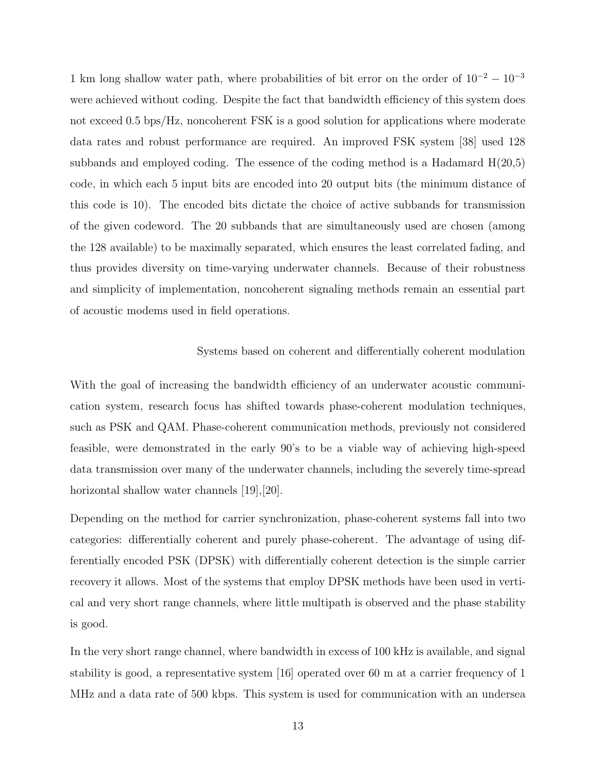1 km long shallow water path, where probabilities of bit error on the order of  $10^{-2} - 10^{-3}$ were achieved without coding. Despite the fact that bandwidth efficiency of this system does not exceed 0.5 bps/Hz, noncoherent FSK is a good solution for applications where moderate data rates and robust performance are required. An improved FSK system [38] used 128 subbands and employed coding. The essence of the coding method is a Hadamard  $H(20,5)$ code, in which each 5 input bits are encoded into 20 output bits (the minimum distance of this code is 10). The encoded bits dictate the choice of active subbands for transmission of the given codeword. The 20 subbands that are simultaneously used are chosen (among the 128 available) to be maximally separated, which ensures the least correlated fading, and thus provides diversity on time-varying underwater channels. Because of their robustness and simplicity of implementation, noncoherent signaling methods remain an essential part of acoustic modems used in field operations.

#### Systems based on coherent and differentially coherent modulation

With the goal of increasing the bandwidth efficiency of an underwater acoustic communication system, research focus has shifted towards phase-coherent modulation techniques, such as PSK and QAM. Phase-coherent communication methods, previously not considered feasible, were demonstrated in the early 90's to be a viable way of achieving high-speed data transmission over many of the underwater channels, including the severely time-spread horizontal shallow water channels [19], [20].

Depending on the method for carrier synchronization, phase-coherent systems fall into two categories: differentially coherent and purely phase-coherent. The advantage of using differentially encoded PSK (DPSK) with differentially coherent detection is the simple carrier recovery it allows. Most of the systems that employ DPSK methods have been used in vertical and very short range channels, where little multipath is observed and the phase stability is good.

In the very short range channel, where bandwidth in excess of 100 kHz is available, and signal stability is good, a representative system [16] operated over 60 m at a carrier frequency of 1 MHz and a data rate of 500 kbps. This system is used for communication with an undersea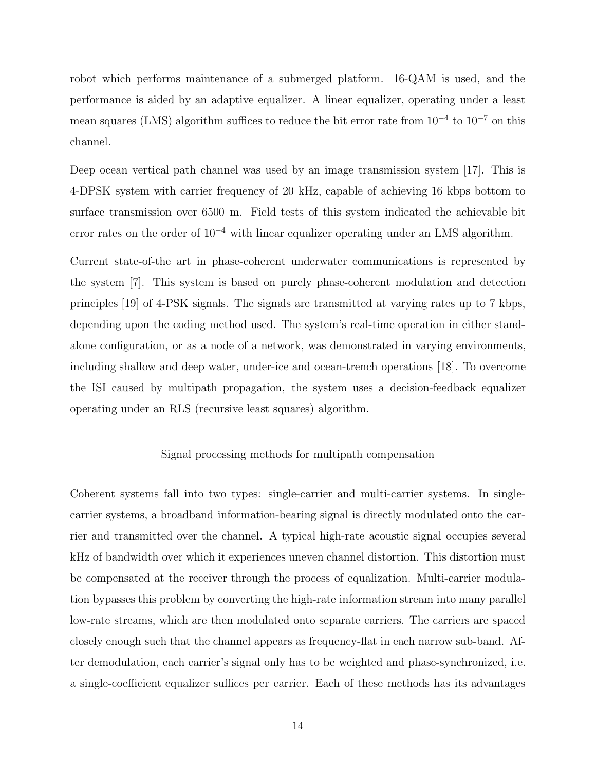robot which performs maintenance of a submerged platform. 16-QAM is used, and the performance is aided by an adaptive equalizer. A linear equalizer, operating under a least mean squares (LMS) algorithm suffices to reduce the bit error rate from  $10^{-4}$  to  $10^{-7}$  on this channel.

Deep ocean vertical path channel was used by an image transmission system [17]. This is 4-DPSK system with carrier frequency of 20 kHz, capable of achieving 16 kbps bottom to surface transmission over 6500 m. Field tests of this system indicated the achievable bit error rates on the order of  $10^{-4}$  with linear equalizer operating under an LMS algorithm.

Current state-of-the art in phase-coherent underwater communications is represented by the system [7]. This system is based on purely phase-coherent modulation and detection principles [19] of 4-PSK signals. The signals are transmitted at varying rates up to 7 kbps, depending upon the coding method used. The system's real-time operation in either standalone configuration, or as a node of a network, was demonstrated in varying environments, including shallow and deep water, under-ice and ocean-trench operations [18]. To overcome the ISI caused by multipath propagation, the system uses a decision-feedback equalizer operating under an RLS (recursive least squares) algorithm.

#### Signal processing methods for multipath compensation

Coherent systems fall into two types: single-carrier and multi-carrier systems. In singlecarrier systems, a broadband information-bearing signal is directly modulated onto the carrier and transmitted over the channel. A typical high-rate acoustic signal occupies several kHz of bandwidth over which it experiences uneven channel distortion. This distortion must be compensated at the receiver through the process of equalization. Multi-carrier modulation bypasses this problem by converting the high-rate information stream into many parallel low-rate streams, which are then modulated onto separate carriers. The carriers are spaced closely enough such that the channel appears as frequency-flat in each narrow sub-band. After demodulation, each carrier's signal only has to be weighted and phase-synchronized, i.e. a single-coefficient equalizer suffices per carrier. Each of these methods has its advantages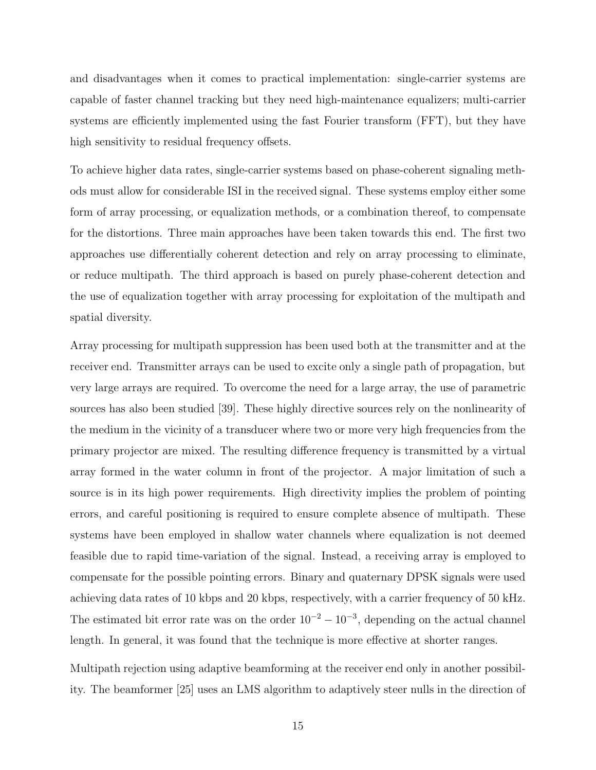and disadvantages when it comes to practical implementation: single-carrier systems are capable of faster channel tracking but they need high-maintenance equalizers; multi-carrier systems are efficiently implemented using the fast Fourier transform (FFT), but they have high sensitivity to residual frequency offsets.

To achieve higher data rates, single-carrier systems based on phase-coherent signaling methods must allow for considerable ISI in the received signal. These systems employ either some form of array processing, or equalization methods, or a combination thereof, to compensate for the distortions. Three main approaches have been taken towards this end. The first two approaches use differentially coherent detection and rely on array processing to eliminate, or reduce multipath. The third approach is based on purely phase-coherent detection and the use of equalization together with array processing for exploitation of the multipath and spatial diversity.

Array processing for multipath suppression has been used both at the transmitter and at the receiver end. Transmitter arrays can be used to excite only a single path of propagation, but very large arrays are required. To overcome the need for a large array, the use of parametric sources has also been studied [39]. These highly directive sources rely on the nonlinearity of the medium in the vicinity of a transducer where two or more very high frequencies from the primary projector are mixed. The resulting difference frequency is transmitted by a virtual array formed in the water column in front of the projector. A major limitation of such a source is in its high power requirements. High directivity implies the problem of pointing errors, and careful positioning is required to ensure complete absence of multipath. These systems have been employed in shallow water channels where equalization is not deemed feasible due to rapid time-variation of the signal. Instead, a receiving array is employed to compensate for the possible pointing errors. Binary and quaternary DPSK signals were used achieving data rates of 10 kbps and 20 kbps, respectively, with a carrier frequency of 50 kHz. The estimated bit error rate was on the order  $10^{-2} - 10^{-3}$ , depending on the actual channel length. In general, it was found that the technique is more effective at shorter ranges.

Multipath rejection using adaptive beamforming at the receiver end only in another possibility. The beamformer [25] uses an LMS algorithm to adaptively steer nulls in the direction of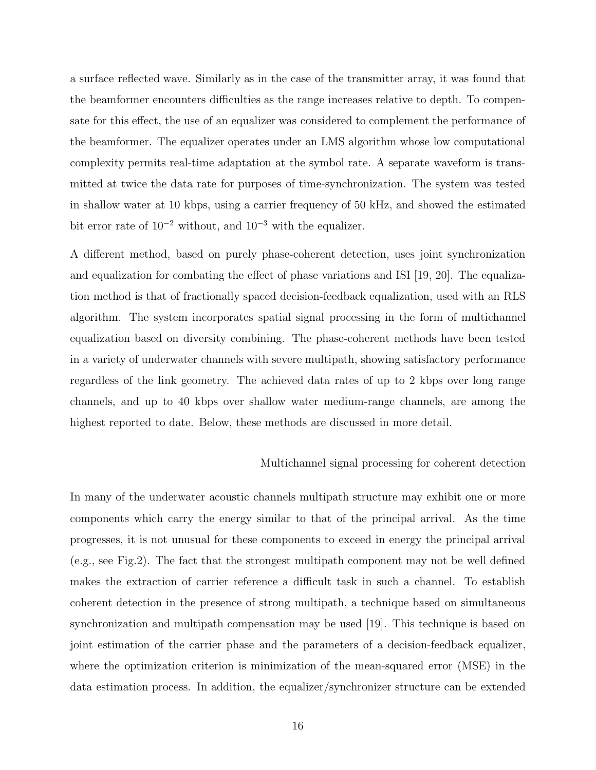a surface reflected wave. Similarly as in the case of the transmitter array, it was found that the beamformer encounters difficulties as the range increases relative to depth. To compensate for this effect, the use of an equalizer was considered to complement the performance of the beamformer. The equalizer operates under an LMS algorithm whose low computational complexity permits real-time adaptation at the symbol rate. A separate waveform is transmitted at twice the data rate for purposes of time-synchronization. The system was tested in shallow water at 10 kbps, using a carrier frequency of 50 kHz, and showed the estimated bit error rate of  $10^{-2}$  without, and  $10^{-3}$  with the equalizer.

A different method, based on purely phase-coherent detection, uses joint synchronization and equalization for combating the effect of phase variations and ISI [19, 20]. The equalization method is that of fractionally spaced decision-feedback equalization, used with an RLS algorithm. The system incorporates spatial signal processing in the form of multichannel equalization based on diversity combining. The phase-coherent methods have been tested in a variety of underwater channels with severe multipath, showing satisfactory performance regardless of the link geometry. The achieved data rates of up to 2 kbps over long range channels, and up to 40 kbps over shallow water medium-range channels, are among the highest reported to date. Below, these methods are discussed in more detail.

#### Multichannel signal processing for coherent detection

In many of the underwater acoustic channels multipath structure may exhibit one or more components which carry the energy similar to that of the principal arrival. As the time progresses, it is not unusual for these components to exceed in energy the principal arrival (e.g., see Fig.2). The fact that the strongest multipath component may not be well defined makes the extraction of carrier reference a difficult task in such a channel. To establish coherent detection in the presence of strong multipath, a technique based on simultaneous synchronization and multipath compensation may be used [19]. This technique is based on joint estimation of the carrier phase and the parameters of a decision-feedback equalizer, where the optimization criterion is minimization of the mean-squared error (MSE) in the data estimation process. In addition, the equalizer/synchronizer structure can be extended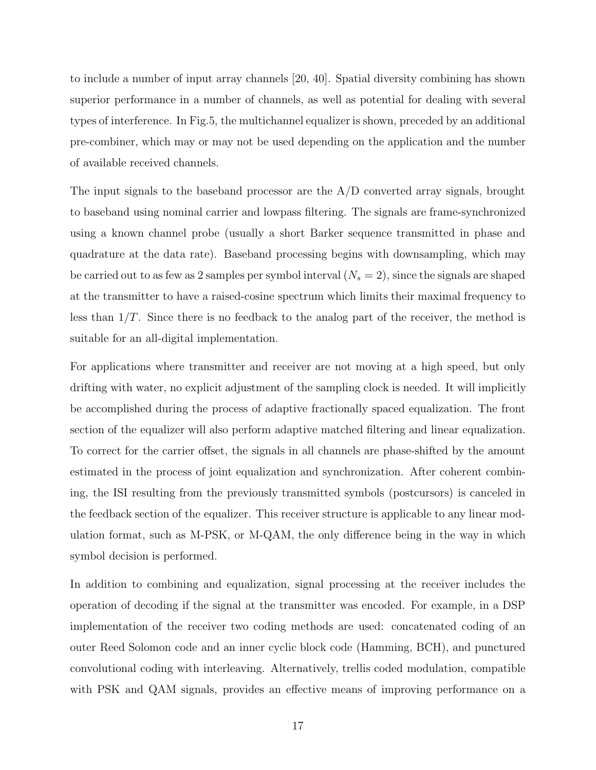to include a number of input array channels [20, 40]. Spatial diversity combining has shown superior performance in a number of channels, as well as potential for dealing with several types of interference. In Fig.5, the multichannel equalizer is shown, preceded by an additional pre-combiner, which may or may not be used depending on the application and the number of available received channels.

The input signals to the baseband processor are the A/D converted array signals, brought to baseband using nominal carrier and lowpass filtering. The signals are frame-synchronized using a known channel probe (usually a short Barker sequence transmitted in phase and quadrature at the data rate). Baseband processing begins with downsampling, which may be carried out to as few as 2 samples per symbol interval  $(N_s = 2)$ , since the signals are shaped at the transmitter to have a raised-cosine spectrum which limits their maximal frequency to less than  $1/T$ . Since there is no feedback to the analog part of the receiver, the method is suitable for an all-digital implementation.

For applications where transmitter and receiver are not moving at a high speed, but only drifting with water, no explicit adjustment of the sampling clock is needed. It will implicitly be accomplished during the process of adaptive fractionally spaced equalization. The front section of the equalizer will also perform adaptive matched filtering and linear equalization. To correct for the carrier offset, the signals in all channels are phase-shifted by the amount estimated in the process of joint equalization and synchronization. After coherent combining, the ISI resulting from the previously transmitted symbols (postcursors) is canceled in the feedback section of the equalizer. This receiver structure is applicable to any linear modulation format, such as M-PSK, or M-QAM, the only difference being in the way in which symbol decision is performed.

In addition to combining and equalization, signal processing at the receiver includes the operation of decoding if the signal at the transmitter was encoded. For example, in a DSP implementation of the receiver two coding methods are used: concatenated coding of an outer Reed Solomon code and an inner cyclic block code (Hamming, BCH), and punctured convolutional coding with interleaving. Alternatively, trellis coded modulation, compatible with PSK and QAM signals, provides an effective means of improving performance on a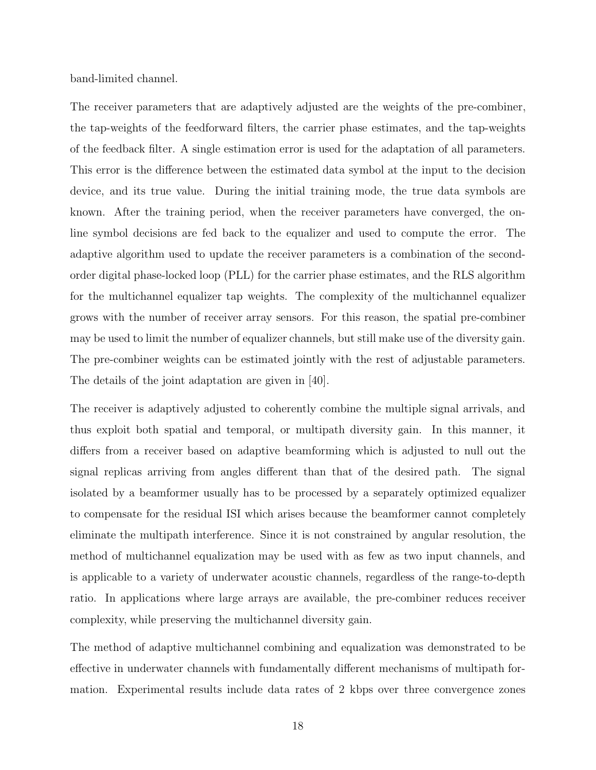band-limited channel.

The receiver parameters that are adaptively adjusted are the weights of the pre-combiner, the tap-weights of the feedforward filters, the carrier phase estimates, and the tap-weights of the feedback filter. A single estimation error is used for the adaptation of all parameters. This error is the difference between the estimated data symbol at the input to the decision device, and its true value. During the initial training mode, the true data symbols are known. After the training period, when the receiver parameters have converged, the online symbol decisions are fed back to the equalizer and used to compute the error. The adaptive algorithm used to update the receiver parameters is a combination of the secondorder digital phase-locked loop (PLL) for the carrier phase estimates, and the RLS algorithm for the multichannel equalizer tap weights. The complexity of the multichannel equalizer grows with the number of receiver array sensors. For this reason, the spatial pre-combiner may be used to limit the number of equalizer channels, but still make use of the diversity gain. The pre-combiner weights can be estimated jointly with the rest of adjustable parameters. The details of the joint adaptation are given in [40].

The receiver is adaptively adjusted to coherently combine the multiple signal arrivals, and thus exploit both spatial and temporal, or multipath diversity gain. In this manner, it differs from a receiver based on adaptive beamforming which is adjusted to null out the signal replicas arriving from angles different than that of the desired path. The signal isolated by a beamformer usually has to be processed by a separately optimized equalizer to compensate for the residual ISI which arises because the beamformer cannot completely eliminate the multipath interference. Since it is not constrained by angular resolution, the method of multichannel equalization may be used with as few as two input channels, and is applicable to a variety of underwater acoustic channels, regardless of the range-to-depth ratio. In applications where large arrays are available, the pre-combiner reduces receiver complexity, while preserving the multichannel diversity gain.

The method of adaptive multichannel combining and equalization was demonstrated to be effective in underwater channels with fundamentally different mechanisms of multipath formation. Experimental results include data rates of 2 kbps over three convergence zones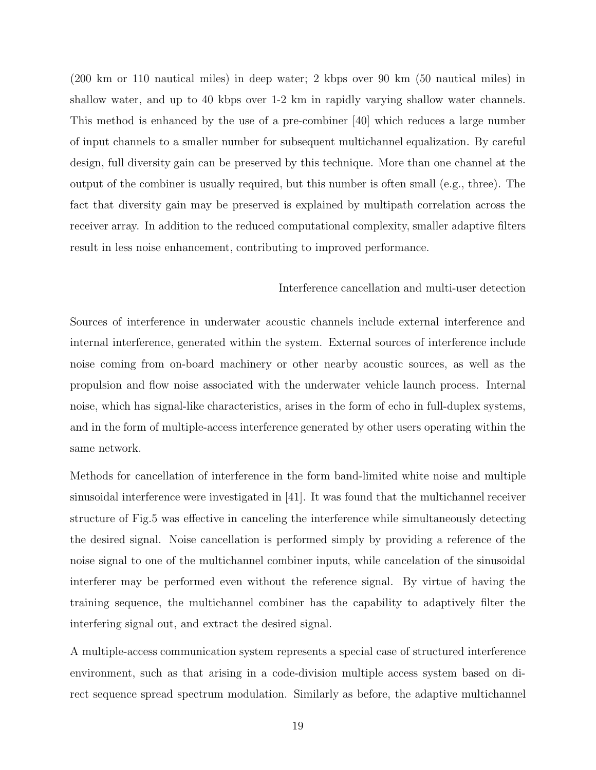(200 km or 110 nautical miles) in deep water; 2 kbps over 90 km (50 nautical miles) in shallow water, and up to 40 kbps over 1-2 km in rapidly varying shallow water channels. This method is enhanced by the use of a pre-combiner [40] which reduces a large number of input channels to a smaller number for subsequent multichannel equalization. By careful design, full diversity gain can be preserved by this technique. More than one channel at the output of the combiner is usually required, but this number is often small (e.g., three). The fact that diversity gain may be preserved is explained by multipath correlation across the receiver array. In addition to the reduced computational complexity, smaller adaptive filters result in less noise enhancement, contributing to improved performance.

# Interference cancellation and multi-user detection

Sources of interference in underwater acoustic channels include external interference and internal interference, generated within the system. External sources of interference include noise coming from on-board machinery or other nearby acoustic sources, as well as the propulsion and flow noise associated with the underwater vehicle launch process. Internal noise, which has signal-like characteristics, arises in the form of echo in full-duplex systems, and in the form of multiple-access interference generated by other users operating within the same network.

Methods for cancellation of interference in the form band-limited white noise and multiple sinusoidal interference were investigated in [41]. It was found that the multichannel receiver structure of Fig.5 was effective in canceling the interference while simultaneously detecting the desired signal. Noise cancellation is performed simply by providing a reference of the noise signal to one of the multichannel combiner inputs, while cancelation of the sinusoidal interferer may be performed even without the reference signal. By virtue of having the training sequence, the multichannel combiner has the capability to adaptively filter the interfering signal out, and extract the desired signal.

A multiple-access communication system represents a special case of structured interference environment, such as that arising in a code-division multiple access system based on direct sequence spread spectrum modulation. Similarly as before, the adaptive multichannel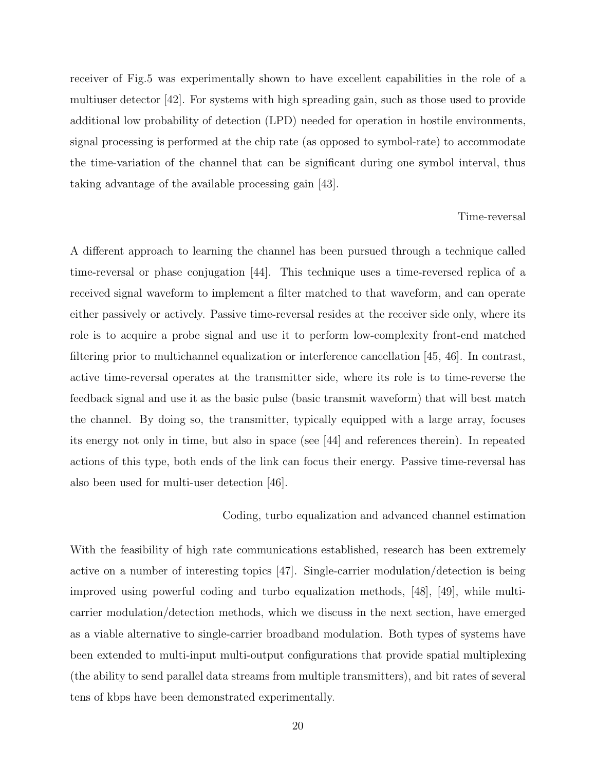receiver of Fig.5 was experimentally shown to have excellent capabilities in the role of a multiuser detector [42]. For systems with high spreading gain, such as those used to provide additional low probability of detection (LPD) needed for operation in hostile environments, signal processing is performed at the chip rate (as opposed to symbol-rate) to accommodate the time-variation of the channel that can be significant during one symbol interval, thus taking advantage of the available processing gain [43].

#### Time-reversal

A different approach to learning the channel has been pursued through a technique called time-reversal or phase conjugation [44]. This technique uses a time-reversed replica of a received signal waveform to implement a filter matched to that waveform, and can operate either passively or actively. Passive time-reversal resides at the receiver side only, where its role is to acquire a probe signal and use it to perform low-complexity front-end matched filtering prior to multichannel equalization or interference cancellation [45, 46]. In contrast, active time-reversal operates at the transmitter side, where its role is to time-reverse the feedback signal and use it as the basic pulse (basic transmit waveform) that will best match the channel. By doing so, the transmitter, typically equipped with a large array, focuses its energy not only in time, but also in space (see [44] and references therein). In repeated actions of this type, both ends of the link can focus their energy. Passive time-reversal has also been used for multi-user detection [46].

#### Coding, turbo equalization and advanced channel estimation

With the feasibility of high rate communications established, research has been extremely active on a number of interesting topics [47]. Single-carrier modulation/detection is being improved using powerful coding and turbo equalization methods, [48], [49], while multicarrier modulation/detection methods, which we discuss in the next section, have emerged as a viable alternative to single-carrier broadband modulation. Both types of systems have been extended to multi-input multi-output configurations that provide spatial multiplexing (the ability to send parallel data streams from multiple transmitters), and bit rates of several tens of kbps have been demonstrated experimentally.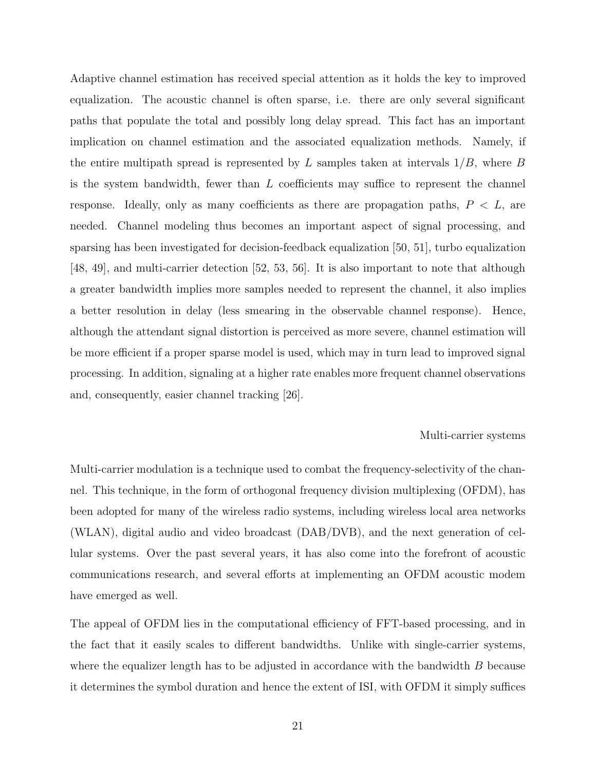Adaptive channel estimation has received special attention as it holds the key to improved equalization. The acoustic channel is often sparse, i.e. there are only several significant paths that populate the total and possibly long delay spread. This fact has an important implication on channel estimation and the associated equalization methods. Namely, if the entire multipath spread is represented by L samples taken at intervals  $1/B$ , where B is the system bandwidth, fewer than  $L$  coefficients may suffice to represent the channel response. Ideally, only as many coefficients as there are propagation paths,  $P < L$ , are needed. Channel modeling thus becomes an important aspect of signal processing, and sparsing has been investigated for decision-feedback equalization [50, 51], turbo equalization [48, 49], and multi-carrier detection [52, 53, 56]. It is also important to note that although a greater bandwidth implies more samples needed to represent the channel, it also implies a better resolution in delay (less smearing in the observable channel response). Hence, although the attendant signal distortion is perceived as more severe, channel estimation will be more efficient if a proper sparse model is used, which may in turn lead to improved signal processing. In addition, signaling at a higher rate enables more frequent channel observations and, consequently, easier channel tracking [26].

#### Multi-carrier systems

Multi-carrier modulation is a technique used to combat the frequency-selectivity of the channel. This technique, in the form of orthogonal frequency division multiplexing (OFDM), has been adopted for many of the wireless radio systems, including wireless local area networks (WLAN), digital audio and video broadcast (DAB/DVB), and the next generation of cellular systems. Over the past several years, it has also come into the forefront of acoustic communications research, and several efforts at implementing an OFDM acoustic modem have emerged as well.

The appeal of OFDM lies in the computational efficiency of FFT-based processing, and in the fact that it easily scales to different bandwidths. Unlike with single-carrier systems, where the equalizer length has to be adjusted in accordance with the bandwidth  $B$  because it determines the symbol duration and hence the extent of ISI, with OFDM it simply suffices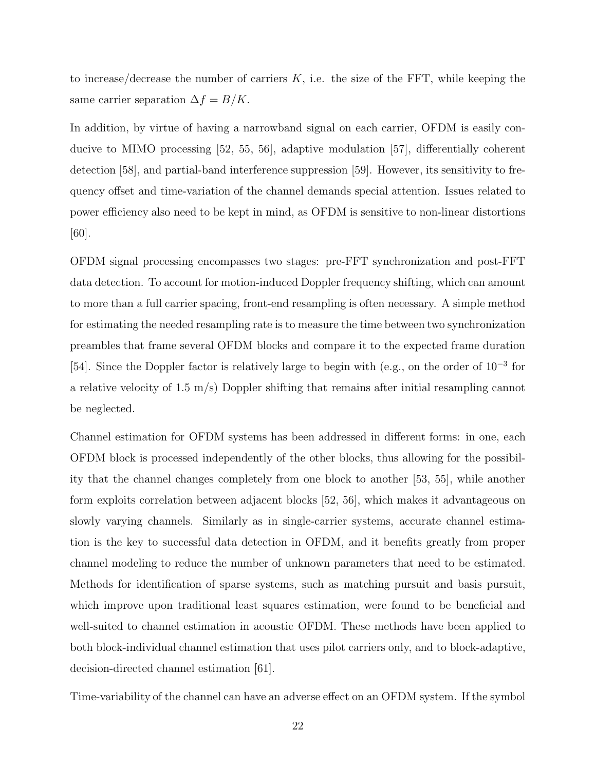to increase/decrease the number of carriers  $K$ , i.e. the size of the FFT, while keeping the same carrier separation  $\Delta f = B/K$ .

In addition, by virtue of having a narrowband signal on each carrier, OFDM is easily conducive to MIMO processing [52, 55, 56], adaptive modulation [57], differentially coherent detection [58], and partial-band interference suppression [59]. However, its sensitivity to frequency offset and time-variation of the channel demands special attention. Issues related to power efficiency also need to be kept in mind, as OFDM is sensitive to non-linear distortions [60].

OFDM signal processing encompasses two stages: pre-FFT synchronization and post-FFT data detection. To account for motion-induced Doppler frequency shifting, which can amount to more than a full carrier spacing, front-end resampling is often necessary. A simple method for estimating the needed resampling rate is to measure the time between two synchronization preambles that frame several OFDM blocks and compare it to the expected frame duration [54]. Since the Doppler factor is relatively large to begin with (e.g., on the order of 10<sup>-3</sup> for a relative velocity of 1.5 m/s) Doppler shifting that remains after initial resampling cannot be neglected.

Channel estimation for OFDM systems has been addressed in different forms: in one, each OFDM block is processed independently of the other blocks, thus allowing for the possibility that the channel changes completely from one block to another [53, 55], while another form exploits correlation between adjacent blocks [52, 56], which makes it advantageous on slowly varying channels. Similarly as in single-carrier systems, accurate channel estimation is the key to successful data detection in OFDM, and it benefits greatly from proper channel modeling to reduce the number of unknown parameters that need to be estimated. Methods for identification of sparse systems, such as matching pursuit and basis pursuit, which improve upon traditional least squares estimation, were found to be beneficial and well-suited to channel estimation in acoustic OFDM. These methods have been applied to both block-individual channel estimation that uses pilot carriers only, and to block-adaptive, decision-directed channel estimation [61].

Time-variability of the channel can have an adverse effect on an OFDM system. If the symbol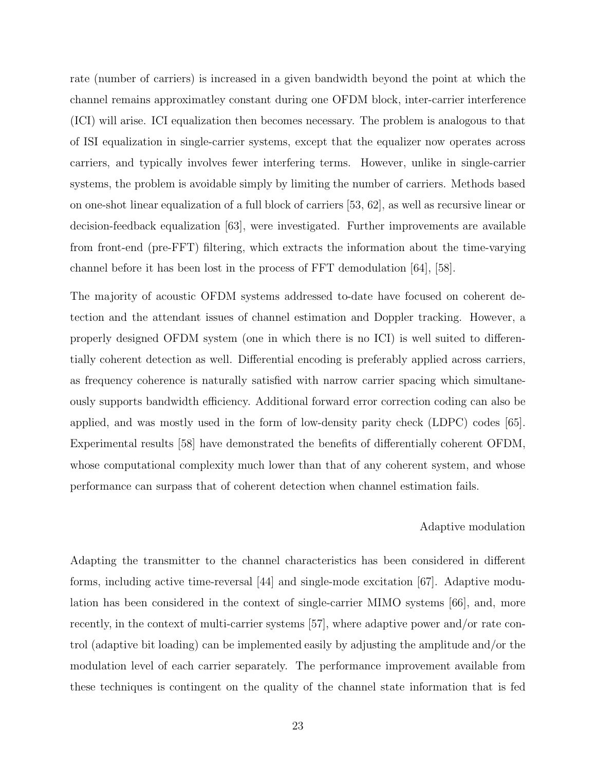rate (number of carriers) is increased in a given bandwidth beyond the point at which the channel remains approximatley constant during one OFDM block, inter-carrier interference (ICI) will arise. ICI equalization then becomes necessary. The problem is analogous to that of ISI equalization in single-carrier systems, except that the equalizer now operates across carriers, and typically involves fewer interfering terms. However, unlike in single-carrier systems, the problem is avoidable simply by limiting the number of carriers. Methods based on one-shot linear equalization of a full block of carriers [53, 62], as well as recursive linear or decision-feedback equalization [63], were investigated. Further improvements are available from front-end (pre-FFT) filtering, which extracts the information about the time-varying channel before it has been lost in the process of FFT demodulation [64], [58].

The majority of acoustic OFDM systems addressed to-date have focused on coherent detection and the attendant issues of channel estimation and Doppler tracking. However, a properly designed OFDM system (one in which there is no ICI) is well suited to differentially coherent detection as well. Differential encoding is preferably applied across carriers, as frequency coherence is naturally satisfied with narrow carrier spacing which simultaneously supports bandwidth efficiency. Additional forward error correction coding can also be applied, and was mostly used in the form of low-density parity check (LDPC) codes [65]. Experimental results [58] have demonstrated the benefits of differentially coherent OFDM, whose computational complexity much lower than that of any coherent system, and whose performance can surpass that of coherent detection when channel estimation fails.

#### Adaptive modulation

Adapting the transmitter to the channel characteristics has been considered in different forms, including active time-reversal [44] and single-mode excitation [67]. Adaptive modulation has been considered in the context of single-carrier MIMO systems [66], and, more recently, in the context of multi-carrier systems [57], where adaptive power and/or rate control (adaptive bit loading) can be implemented easily by adjusting the amplitude and/or the modulation level of each carrier separately. The performance improvement available from these techniques is contingent on the quality of the channel state information that is fed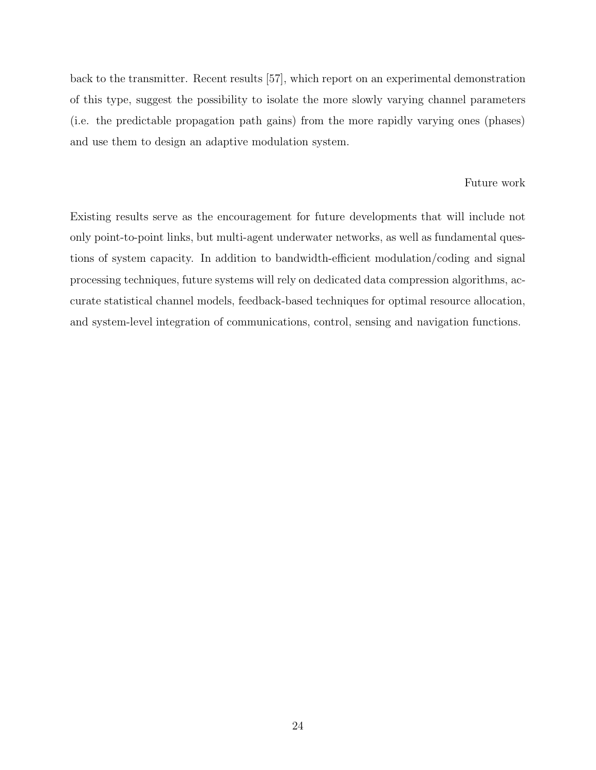back to the transmitter. Recent results [57], which report on an experimental demonstration of this type, suggest the possibility to isolate the more slowly varying channel parameters (i.e. the predictable propagation path gains) from the more rapidly varying ones (phases) and use them to design an adaptive modulation system.

### Future work

Existing results serve as the encouragement for future developments that will include not only point-to-point links, but multi-agent underwater networks, as well as fundamental questions of system capacity. In addition to bandwidth-efficient modulation/coding and signal processing techniques, future systems will rely on dedicated data compression algorithms, accurate statistical channel models, feedback-based techniques for optimal resource allocation, and system-level integration of communications, control, sensing and navigation functions.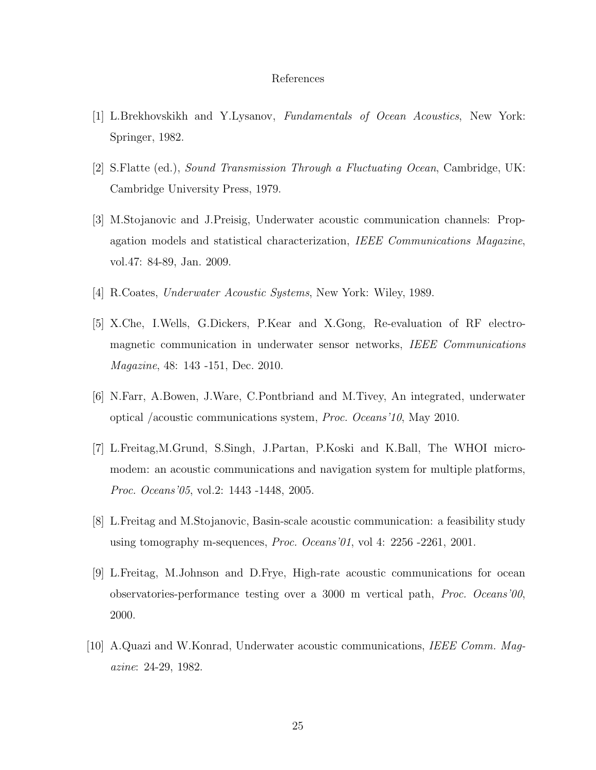#### References

- [1] L.Brekhovskikh and Y.Lysanov, Fundamentals of Ocean Acoustics, New York: Springer, 1982.
- [2] S.Flatte (ed.), Sound Transmission Through a Fluctuating Ocean, Cambridge, UK: Cambridge University Press, 1979.
- [3] M.Stojanovic and J.Preisig, Underwater acoustic communication channels: Propagation models and statistical characterization, IEEE Communications Magazine, vol.47: 84-89, Jan. 2009.
- [4] R.Coates, Underwater Acoustic Systems, New York: Wiley, 1989.
- [5] X.Che, I.Wells, G.Dickers, P.Kear and X.Gong, Re-evaluation of RF electromagnetic communication in underwater sensor networks, IEEE Communications Magazine, 48: 143 -151, Dec. 2010.
- [6] N.Farr, A.Bowen, J.Ware, C.Pontbriand and M.Tivey, An integrated, underwater optical /acoustic communications system, Proc. Oceans'10, May 2010.
- [7] L.Freitag,M.Grund, S.Singh, J.Partan, P.Koski and K.Ball, The WHOI micromodem: an acoustic communications and navigation system for multiple platforms, Proc. Oceans'05, vol.2: 1443 -1448, 2005.
- [8] L.Freitag and M.Stojanovic, Basin-scale acoustic communication: a feasibility study using tomography m-sequences, Proc. Oceans'01, vol 4: 2256 -2261, 2001.
- [9] L.Freitag, M.Johnson and D.Frye, High-rate acoustic communications for ocean observatories-performance testing over a 3000 m vertical path, Proc. Oceans'00, 2000.
- [10] A.Quazi and W.Konrad, Underwater acoustic communications, IEEE Comm. Magazine: 24-29, 1982.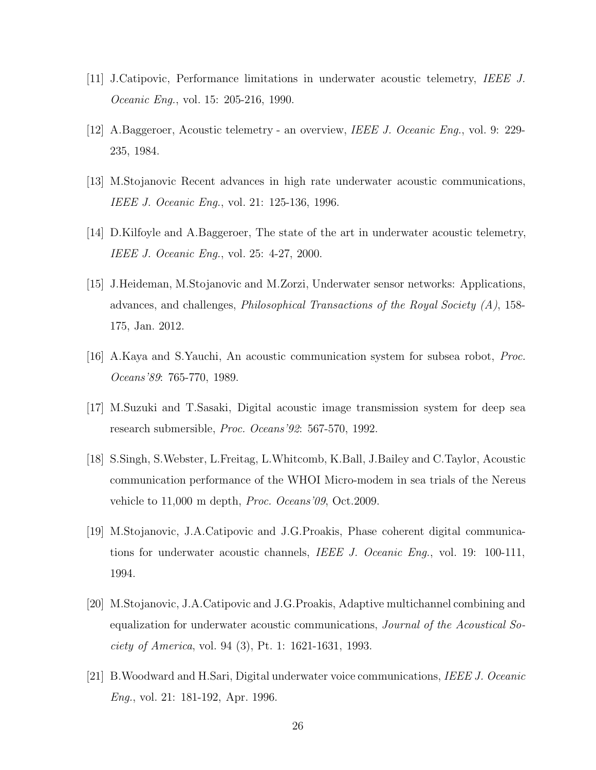- [11] J.Catipovic, Performance limitations in underwater acoustic telemetry, IEEE J. *Oceanic Eng.*, vol. 15: 205-216, 1990.
- [12] A.Baggeroer, Acoustic telemetry an overview, IEEE J. Oceanic Eng., vol. 9: 229- 235, 1984.
- [13] M.Stojanovic Recent advances in high rate underwater acoustic communications, IEEE J. Oceanic Eng., vol. 21: 125-136, 1996.
- [14] D.Kilfoyle and A.Baggeroer, The state of the art in underwater acoustic telemetry, IEEE J. Oceanic Eng., vol. 25: 4-27, 2000.
- [15] J.Heideman, M.Stojanovic and M.Zorzi, Underwater sensor networks: Applications, advances, and challenges, *Philosophical Transactions of the Royal Society (A)*, 158-175, Jan. 2012.
- [16] A.Kaya and S.Yauchi, An acoustic communication system for subsea robot, Proc. Oceans'89: 765-770, 1989.
- [17] M.Suzuki and T.Sasaki, Digital acoustic image transmission system for deep sea research submersible, Proc. Oceans'92: 567-570, 1992.
- [18] S.Singh, S.Webster, L.Freitag, L.Whitcomb, K.Ball, J.Bailey and C.Taylor, Acoustic communication performance of the WHOI Micro-modem in sea trials of the Nereus vehicle to 11,000 m depth, Proc. Oceans'09, Oct.2009.
- [19] M.Stojanovic, J.A.Catipovic and J.G.Proakis, Phase coherent digital communications for underwater acoustic channels, IEEE J. Oceanic Eng., vol. 19: 100-111, 1994.
- [20] M.Stojanovic, J.A.Catipovic and J.G.Proakis, Adaptive multichannel combining and equalization for underwater acoustic communications, Journal of the Acoustical Society of America, vol. 94 (3), Pt. 1: 1621-1631, 1993.
- [21] B.Woodward and H.Sari, Digital underwater voice communications, IEEE J. Oceanic Eng., vol. 21: 181-192, Apr. 1996.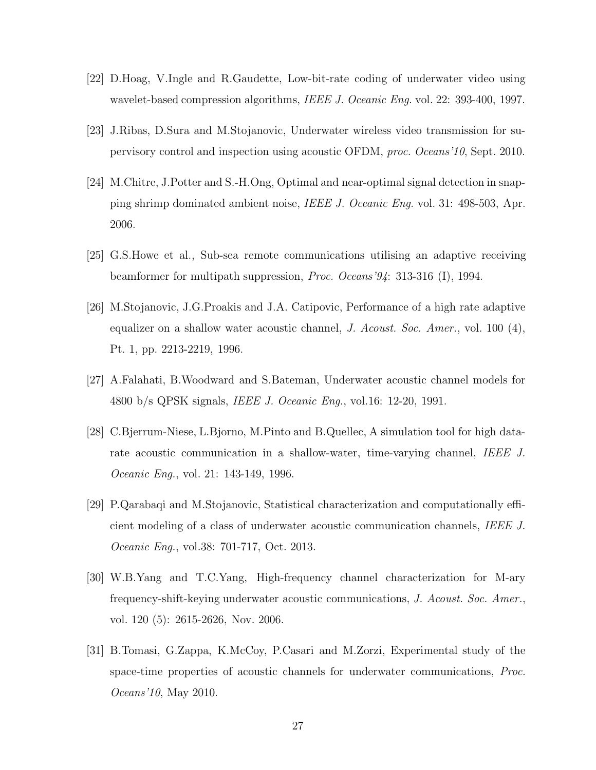- [22] D.Hoag, V.Ingle and R.Gaudette, Low-bit-rate coding of underwater video using wavelet-based compression algorithms, IEEE J. Oceanic Eng. vol. 22: 393-400, 1997.
- [23] J.Ribas, D.Sura and M.Stojanovic, Underwater wireless video transmission for supervisory control and inspection using acoustic OFDM, proc. Oceans'10, Sept. 2010.
- [24] M.Chitre, J.Potter and S.-H.Ong, Optimal and near-optimal signal detection in snapping shrimp dominated ambient noise, IEEE J. Oceanic Eng. vol. 31: 498-503, Apr. 2006.
- [25] G.S.Howe et al., Sub-sea remote communications utilising an adaptive receiving beamformer for multipath suppression, Proc. Oceans'94: 313-316 (I), 1994.
- [26] M.Stojanovic, J.G.Proakis and J.A. Catipovic, Performance of a high rate adaptive equalizer on a shallow water acoustic channel, J. Acoust. Soc. Amer., vol. 100  $(4)$ , Pt. 1, pp. 2213-2219, 1996.
- [27] A.Falahati, B.Woodward and S.Bateman, Underwater acoustic channel models for 4800 b/s QPSK signals, IEEE J. Oceanic Eng., vol.16: 12-20, 1991.
- [28] C.Bjerrum-Niese, L.Bjorno, M.Pinto and B.Quellec, A simulation tool for high datarate acoustic communication in a shallow-water, time-varying channel, IEEE J. *Oceanic Eng.*, vol. 21: 143-149, 1996.
- [29] P.Qarabaqi and M.Stojanovic, Statistical characterization and computationally efficient modeling of a class of underwater acoustic communication channels, IEEE J. Oceanic Eng., vol.38: 701-717, Oct. 2013.
- [30] W.B.Yang and T.C.Yang, High-frequency channel characterization for M-ary frequency-shift-keying underwater acoustic communications, J. Acoust. Soc. Amer., vol. 120 (5): 2615-2626, Nov. 2006.
- [31] B.Tomasi, G.Zappa, K.McCoy, P.Casari and M.Zorzi, Experimental study of the space-time properties of acoustic channels for underwater communications, Proc. Oceans'10, May 2010.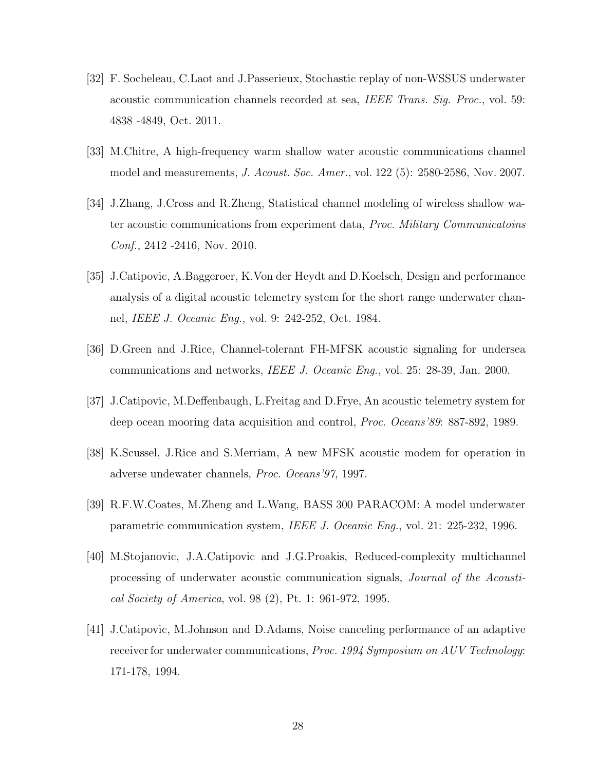- [32] F. Socheleau, C.Laot and J.Passerieux, Stochastic replay of non-WSSUS underwater acoustic communication channels recorded at sea, IEEE Trans. Sig. Proc., vol. 59: 4838 -4849, Oct. 2011.
- [33] M.Chitre, A high-frequency warm shallow water acoustic communications channel model and measurements, J. Acoust. Soc. Amer., vol. 122 (5): 2580-2586, Nov. 2007.
- [34] J.Zhang, J.Cross and R.Zheng, Statistical channel modeling of wireless shallow water acoustic communications from experiment data, Proc. Military Communicatoins Conf., 2412 -2416, Nov. 2010.
- [35] J.Catipovic, A.Baggeroer, K.Von der Heydt and D.Koelsch, Design and performance analysis of a digital acoustic telemetry system for the short range underwater channel, IEEE J. Oceanic Eng., vol. 9: 242-252, Oct. 1984.
- [36] D.Green and J.Rice, Channel-tolerant FH-MFSK acoustic signaling for undersea communications and networks, IEEE J. Oceanic Eng., vol. 25: 28-39, Jan. 2000.
- [37] J.Catipovic, M.Deffenbaugh, L.Freitag and D.Frye, An acoustic telemetry system for deep ocean mooring data acquisition and control, Proc. Oceans'89: 887-892, 1989.
- [38] K.Scussel, J.Rice and S.Merriam, A new MFSK acoustic modem for operation in adverse undewater channels, Proc. Oceans'97, 1997.
- [39] R.F.W.Coates, M.Zheng and L.Wang, BASS 300 PARACOM: A model underwater parametric communication system, IEEE J. Oceanic Eng., vol. 21: 225-232, 1996.
- [40] M.Stojanovic, J.A.Catipovic and J.G.Proakis, Reduced-complexity multichannel processing of underwater acoustic communication signals, Journal of the Acoustical Society of America, vol. 98 (2), Pt. 1: 961-972, 1995.
- [41] J.Catipovic, M.Johnson and D.Adams, Noise canceling performance of an adaptive receiver for underwater communications, Proc. 1994 Symposium on AUV Technology: 171-178, 1994.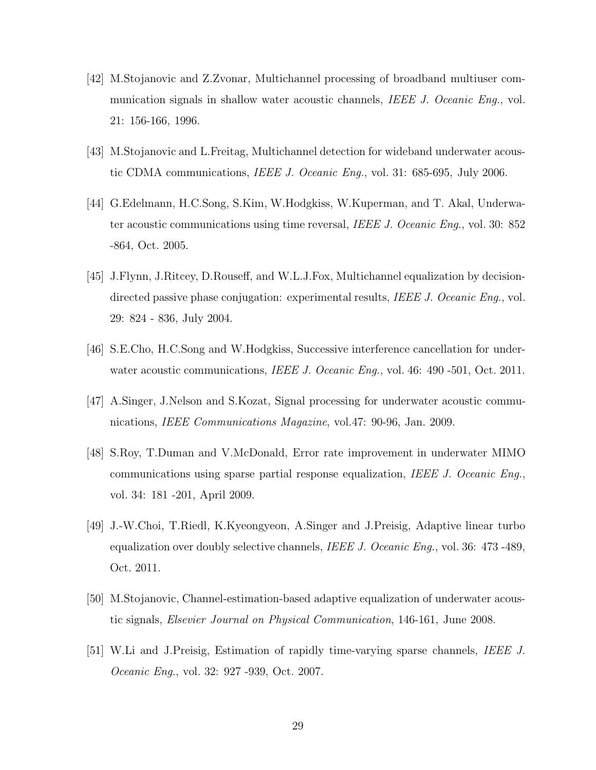- [42] M.Stojanovic and Z.Zvonar, Multichannel processing of broadband multiuser communication signals in shallow water acoustic channels, IEEE J. Oceanic Eng., vol. 21: 156-166, 1996.
- [43] M.Stojanovic and L.Freitag, Multichannel detection for wideband underwater acoustic CDMA communications, IEEE J. Oceanic Eng., vol. 31: 685-695, July 2006.
- [44] G.Edelmann, H.C.Song, S.Kim, W.Hodgkiss, W.Kuperman, and T. Akal, Underwater acoustic communications using time reversal, IEEE J. Oceanic Eng., vol. 30: 852 -864, Oct. 2005.
- [45] J.Flynn, J.Ritcey, D.Rouseff, and W.L.J.Fox, Multichannel equalization by decisiondirected passive phase conjugation: experimental results, IEEE J. Oceanic Eng., vol. 29: 824 - 836, July 2004.
- [46] S.E.Cho, H.C.Song and W.Hodgkiss, Successive interference cancellation for underwater acoustic communications, *IEEE J. Oceanic Eng.*, vol. 46: 490 -501, Oct. 2011.
- [47] A.Singer, J.Nelson and S.Kozat, Signal processing for underwater acoustic communications, IEEE Communications Magazine, vol.47: 90-96, Jan. 2009.
- [48] S.Roy, T.Duman and V.McDonald, Error rate improvement in underwater MIMO communications using sparse partial response equalization, IEEE J. Oceanic Eng., vol. 34: 181 -201, April 2009.
- [49] J.-W.Choi, T.Riedl, K.Kyeongyeon, A.Singer and J.Preisig, Adaptive linear turbo equalization over doubly selective channels, IEEE J. Oceanic Eng., vol. 36: 473 -489, Oct. 2011.
- [50] M.Stojanovic, Channel-estimation-based adaptive equalization of underwater acoustic signals, Elsevier Journal on Physical Communication, 146-161, June 2008.
- [51] W.Li and J.Preisig, Estimation of rapidly time-varying sparse channels, IEEE J. *Oceanic Eng.*, vol. 32: 927 -939, Oct. 2007.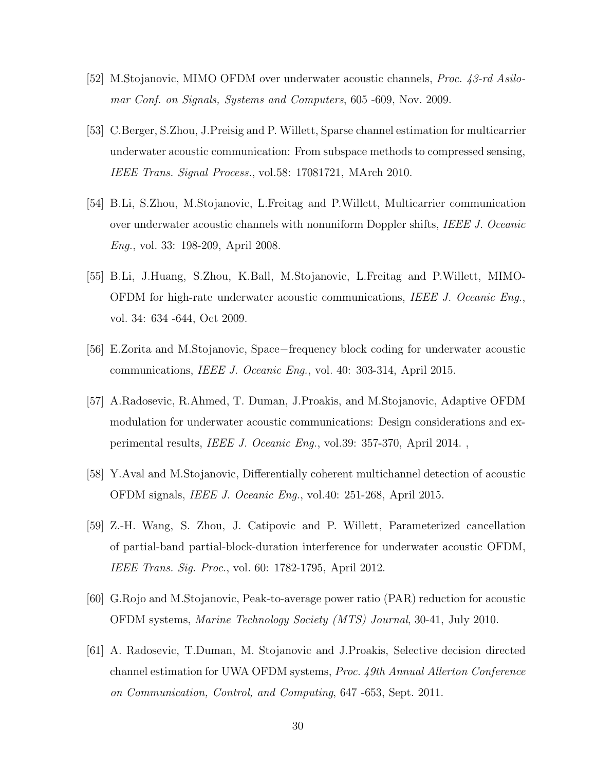- [52] M.Stojanovic, MIMO OFDM over underwater acoustic channels, Proc. 43-rd Asilomar Conf. on Signals, Systems and Computers, 605 -609, Nov. 2009.
- [53] C.Berger, S.Zhou, J.Preisig and P. Willett, Sparse channel estimation for multicarrier underwater acoustic communication: From subspace methods to compressed sensing, IEEE Trans. Signal Process., vol.58: 17081721, MArch 2010.
- [54] B.Li, S.Zhou, M.Stojanovic, L.Freitag and P.Willett, Multicarrier communication over underwater acoustic channels with nonuniform Doppler shifts, IEEE J. Oceanic Eng., vol. 33: 198-209, April 2008.
- [55] B.Li, J.Huang, S.Zhou, K.Ball, M.Stojanovic, L.Freitag and P.Willett, MIMO-OFDM for high-rate underwater acoustic communications, IEEE J. Oceanic Eng., vol. 34: 634 -644, Oct 2009.
- [56] E.Zorita and M.Stojanovic, Space−frequency block coding for underwater acoustic communications, IEEE J. Oceanic Eng., vol. 40: 303-314, April 2015.
- [57] A.Radosevic, R.Ahmed, T. Duman, J.Proakis, and M.Stojanovic, Adaptive OFDM modulation for underwater acoustic communications: Design considerations and experimental results, IEEE J. Oceanic Eng., vol.39: 357-370, April 2014. ,
- [58] Y.Aval and M.Stojanovic, Differentially coherent multichannel detection of acoustic OFDM signals, IEEE J. Oceanic Eng., vol.40: 251-268, April 2015.
- [59] Z.-H. Wang, S. Zhou, J. Catipovic and P. Willett, Parameterized cancellation of partial-band partial-block-duration interference for underwater acoustic OFDM, IEEE Trans. Sig. Proc., vol. 60: 1782-1795, April 2012.
- [60] G.Rojo and M.Stojanovic, Peak-to-average power ratio (PAR) reduction for acoustic OFDM systems, Marine Technology Society (MTS) Journal, 30-41, July 2010.
- [61] A. Radosevic, T.Duman, M. Stojanovic and J.Proakis, Selective decision directed channel estimation for UWA OFDM systems, Proc. 49th Annual Allerton Conference on Communication, Control, and Computing, 647 -653, Sept. 2011.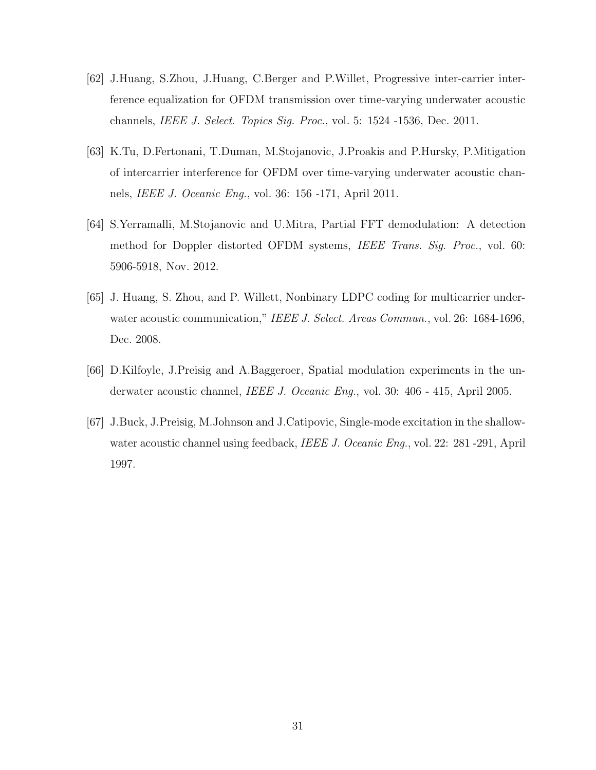- [62] J.Huang, S.Zhou, J.Huang, C.Berger and P.Willet, Progressive inter-carrier interference equalization for OFDM transmission over time-varying underwater acoustic channels, IEEE J. Select. Topics Sig. Proc., vol. 5: 1524 -1536, Dec. 2011.
- [63] K.Tu, D.Fertonani, T.Duman, M.Stojanovic, J.Proakis and P.Hursky, P.Mitigation of intercarrier interference for OFDM over time-varying underwater acoustic channels, IEEE J. Oceanic Eng., vol. 36: 156 -171, April 2011.
- [64] S.Yerramalli, M.Stojanovic and U.Mitra, Partial FFT demodulation: A detection method for Doppler distorted OFDM systems, IEEE Trans. Sig. Proc., vol. 60: 5906-5918, Nov. 2012.
- [65] J. Huang, S. Zhou, and P. Willett, Nonbinary LDPC coding for multicarrier underwater acoustic communication," IEEE J. Select. Areas Commun., vol. 26: 1684-1696, Dec. 2008.
- [66] D.Kilfoyle, J.Preisig and A.Baggeroer, Spatial modulation experiments in the underwater acoustic channel, IEEE J. Oceanic Eng., vol. 30: 406 - 415, April 2005.
- [67] J.Buck, J.Preisig, M.Johnson and J.Catipovic, Single-mode excitation in the shallowwater acoustic channel using feedback, *IEEE J. Oceanic Eng.*, vol. 22: 281-291, April 1997.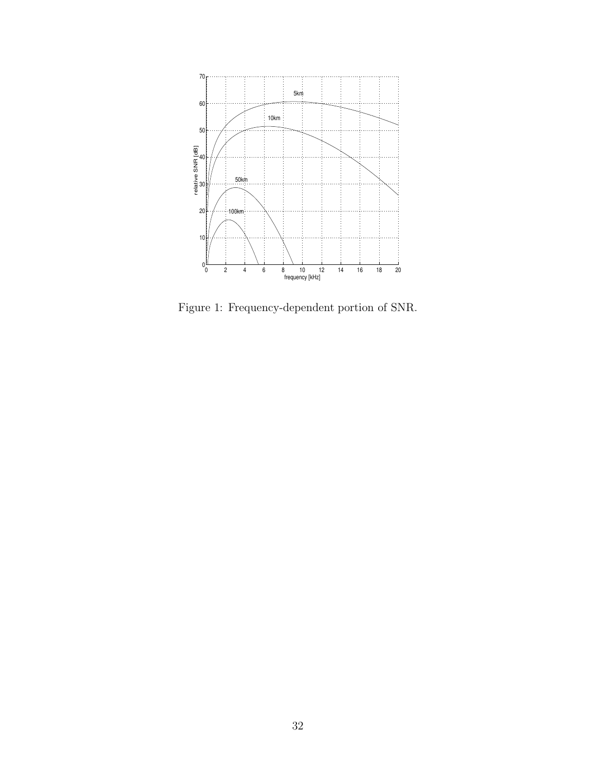

Figure 1: Frequency-dependent portion of SNR.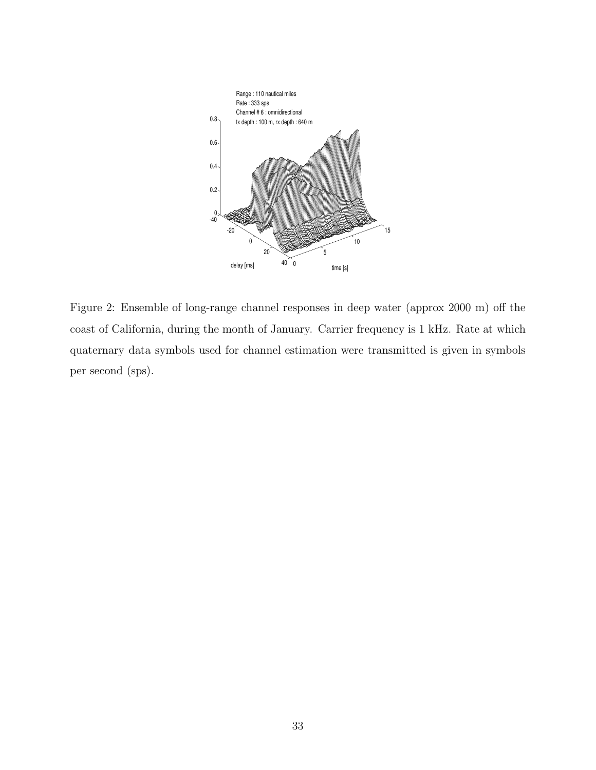

Figure 2: Ensemble of long-range channel responses in deep water (approx 2000 m) off the coast of California, during the month of January. Carrier frequency is 1 kHz. Rate at which quaternary data symbols used for channel estimation were transmitted is given in symbols per second (sps).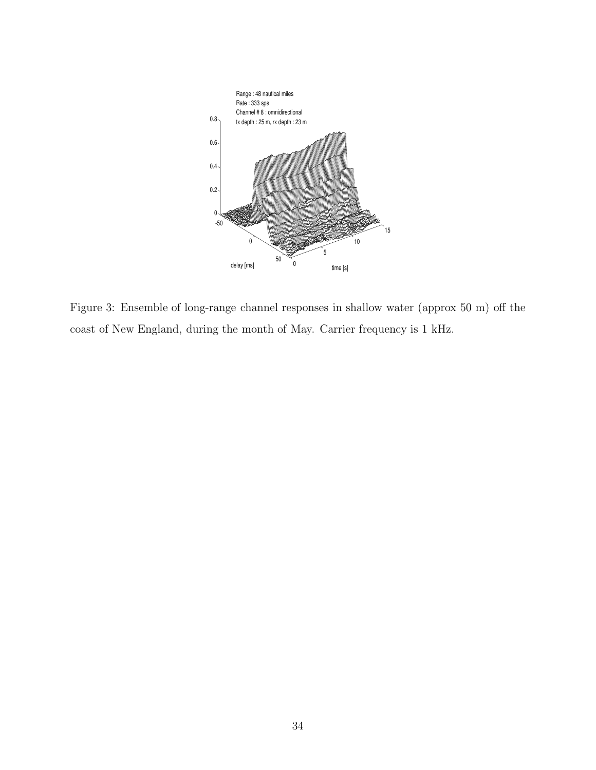

Figure 3: Ensemble of long-range channel responses in shallow water (approx 50 m) off the coast of New England, during the month of May. Carrier frequency is 1 kHz.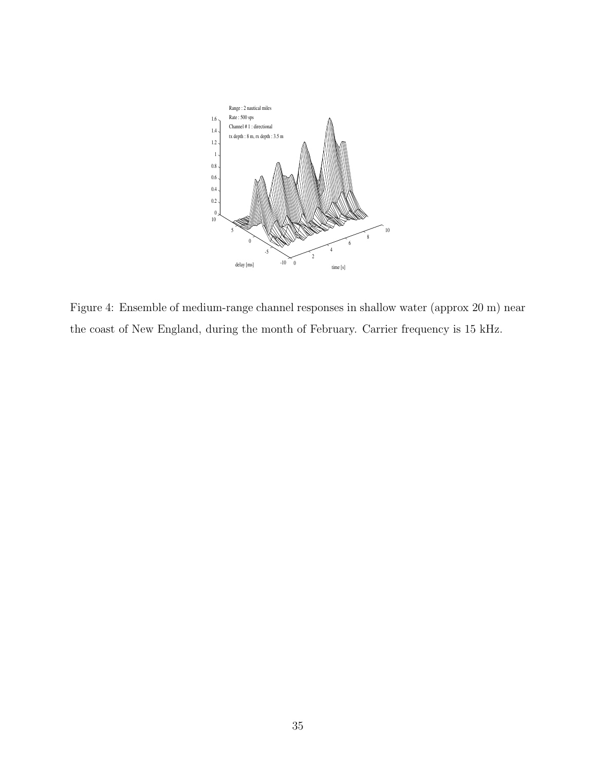

Figure 4: Ensemble of medium-range channel responses in shallow water (approx 20 m) near the coast of New England, during the month of February. Carrier frequency is 15 kHz.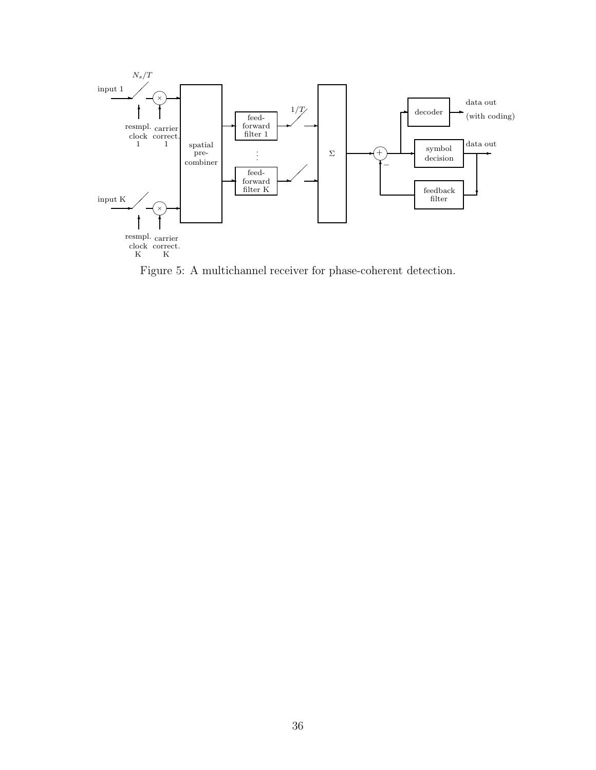

Figure 5: A multichannel receiver for phase-coherent detection.